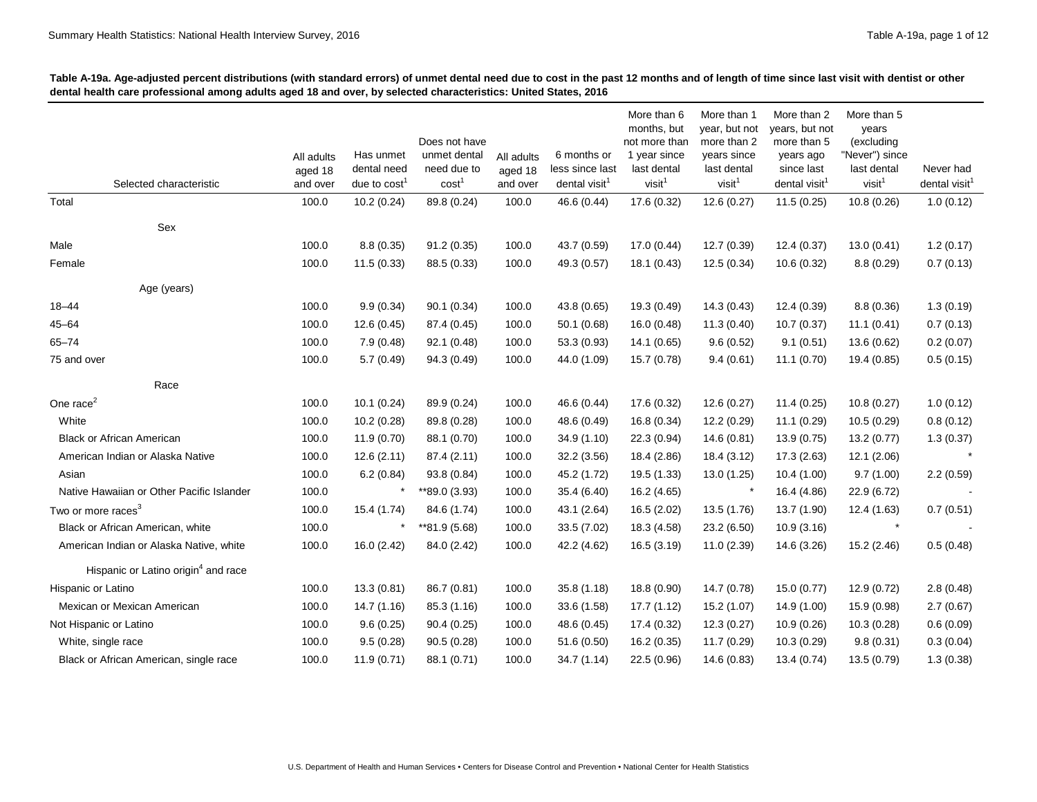|                                                 |            |                |                   |            |                           | More than 6                  | More than 1                  | More than 2                   | More than 5         |                           |
|-------------------------------------------------|------------|----------------|-------------------|------------|---------------------------|------------------------------|------------------------------|-------------------------------|---------------------|---------------------------|
|                                                 |            |                | Does not have     |            |                           | months, but<br>not more than | year, but not<br>more than 2 | years, but not<br>more than 5 | years<br>(excluding |                           |
|                                                 | All adults | Has unmet      | unmet dental      | All adults | 6 months or               | 1 year since                 | years since                  | years ago                     | "Never") since      |                           |
|                                                 | aged 18    | dental need    | need due to       | aged 18    | less since last           | last dental                  | last dental                  | since last                    | last dental         | Never had                 |
| Selected characteristic                         | and over   | due to $cost1$ | cost <sup>1</sup> | and over   | dental visit <sup>1</sup> | visit <sup>1</sup>           | visit <sup>1</sup>           | dental visit <sup>1</sup>     | visit <sup>1</sup>  | dental visit <sup>1</sup> |
| Total                                           | 100.0      | 10.2(0.24)     | 89.8 (0.24)       | 100.0      | 46.6 (0.44)               | 17.6 (0.32)                  | 12.6(0.27)                   | 11.5(0.25)                    | 10.8(0.26)          | 1.0(0.12)                 |
| Sex                                             |            |                |                   |            |                           |                              |                              |                               |                     |                           |
| Male                                            | 100.0      | 8.8(0.35)      | 91.2(0.35)        | 100.0      | 43.7 (0.59)               | 17.0(0.44)                   | 12.7 (0.39)                  | 12.4 (0.37)                   | 13.0(0.41)          | 1.2(0.17)                 |
| Female                                          | 100.0      | 11.5(0.33)     | 88.5 (0.33)       | 100.0      | 49.3 (0.57)               | 18.1(0.43)                   | 12.5(0.34)                   | 10.6 (0.32)                   | 8.8(0.29)           | 0.7(0.13)                 |
| Age (years)                                     |            |                |                   |            |                           |                              |                              |                               |                     |                           |
| $18 - 44$                                       | 100.0      | 9.9(0.34)      | 90.1(0.34)        | 100.0      | 43.8 (0.65)               | 19.3 (0.49)                  | 14.3(0.43)                   | 12.4 (0.39)                   | 8.8(0.36)           | 1.3(0.19)                 |
| $45 - 64$                                       | 100.0      | 12.6(0.45)     | 87.4 (0.45)       | 100.0      | 50.1(0.68)                | 16.0(0.48)                   | 11.3(0.40)                   | 10.7(0.37)                    | 11.1(0.41)          | 0.7(0.13)                 |
| $65 - 74$                                       | 100.0      | 7.9(0.48)      | 92.1 (0.48)       | 100.0      | 53.3 (0.93)               | 14.1 (0.65)                  | 9.6(0.52)                    | 9.1(0.51)                     | 13.6 (0.62)         | 0.2(0.07)                 |
| 75 and over                                     | 100.0      | 5.7(0.49)      | 94.3 (0.49)       | 100.0      | 44.0 (1.09)               | 15.7 (0.78)                  | 9.4(0.61)                    | 11.1(0.70)                    | 19.4 (0.85)         | 0.5(0.15)                 |
| Race                                            |            |                |                   |            |                           |                              |                              |                               |                     |                           |
| One race $2$                                    | 100.0      | 10.1(0.24)     | 89.9 (0.24)       | 100.0      | 46.6 (0.44)               | 17.6 (0.32)                  | 12.6(0.27)                   | 11.4 (0.25)                   | 10.8(0.27)          | 1.0(0.12)                 |
| White                                           | 100.0      | 10.2(0.28)     | 89.8 (0.28)       | 100.0      | 48.6 (0.49)               | 16.8(0.34)                   | 12.2 (0.29)                  | 11.1(0.29)                    | 10.5(0.29)          | 0.8(0.12)                 |
| Black or African American                       | 100.0      | 11.9 (0.70)    | 88.1 (0.70)       | 100.0      | 34.9 (1.10)               | 22.3 (0.94)                  | 14.6(0.81)                   | 13.9 (0.75)                   | 13.2 (0.77)         | 1.3(0.37)                 |
| American Indian or Alaska Native                | 100.0      | 12.6(2.11)     | 87.4 (2.11)       | 100.0      | 32.2 (3.56)               | 18.4 (2.86)                  | 18.4 (3.12)                  | 17.3 (2.63)                   | 12.1(2.06)          |                           |
| Asian                                           | 100.0      | 6.2(0.84)      | 93.8 (0.84)       | 100.0      | 45.2 (1.72)               | 19.5 (1.33)                  | 13.0 (1.25)                  | 10.4(1.00)                    | 9.7(1.00)           | 2.2(0.59)                 |
| Native Hawaiian or Other Pacific Islander       | 100.0      | $\ast$         | **89.0 (3.93)     | 100.0      | 35.4 (6.40)               | 16.2 (4.65)                  | $\ast$                       | 16.4 (4.86)                   | 22.9 (6.72)         |                           |
| Two or more races <sup>3</sup>                  | 100.0      | 15.4 (1.74)    | 84.6 (1.74)       | 100.0      | 43.1 (2.64)               | 16.5 (2.02)                  | 13.5 (1.76)                  | 13.7 (1.90)                   | 12.4 (1.63)         | 0.7(0.51)                 |
| Black or African American, white                | 100.0      | $\ast$         | **81.9 (5.68)     | 100.0      | 33.5 (7.02)               | 18.3 (4.58)                  | 23.2 (6.50)                  | 10.9(3.16)                    | $\star$             |                           |
| American Indian or Alaska Native, white         | 100.0      | 16.0 (2.42)    | 84.0 (2.42)       | 100.0      | 42.2 (4.62)               | 16.5 (3.19)                  | 11.0(2.39)                   | 14.6 (3.26)                   | 15.2 (2.46)         | 0.5(0.48)                 |
| Hispanic or Latino origin <sup>4</sup> and race |            |                |                   |            |                           |                              |                              |                               |                     |                           |
| Hispanic or Latino                              | 100.0      | 13.3(0.81)     | 86.7 (0.81)       | 100.0      | 35.8(1.18)                | 18.8 (0.90)                  | 14.7 (0.78)                  | 15.0 (0.77)                   | 12.9 (0.72)         | 2.8(0.48)                 |
| Mexican or Mexican American                     | 100.0      | 14.7 (1.16)    | 85.3 (1.16)       | 100.0      | 33.6 (1.58)               | 17.7(1.12)                   | 15.2 (1.07)                  | 14.9 (1.00)                   | 15.9 (0.98)         | 2.7(0.67)                 |
| Not Hispanic or Latino                          | 100.0      | 9.6(0.25)      | 90.4(0.25)        | 100.0      | 48.6 (0.45)               | 17.4 (0.32)                  | 12.3(0.27)                   | 10.9(0.26)                    | 10.3(0.28)          | 0.6(0.09)                 |
| White, single race                              | 100.0      | 9.5(0.28)      | 90.5(0.28)        | 100.0      | 51.6 (0.50)               | 16.2 (0.35)                  | 11.7 (0.29)                  | 10.3(0.29)                    | 9.8(0.31)           | 0.3(0.04)                 |
| Black or African American, single race          | 100.0      | 11.9(0.71)     | 88.1 (0.71)       | 100.0      | 34.7(1.14)                | 22.5(0.96)                   | 14.6 (0.83)                  | 13.4 (0.74)                   | 13.5 (0.79)         | 1.3(0.38)                 |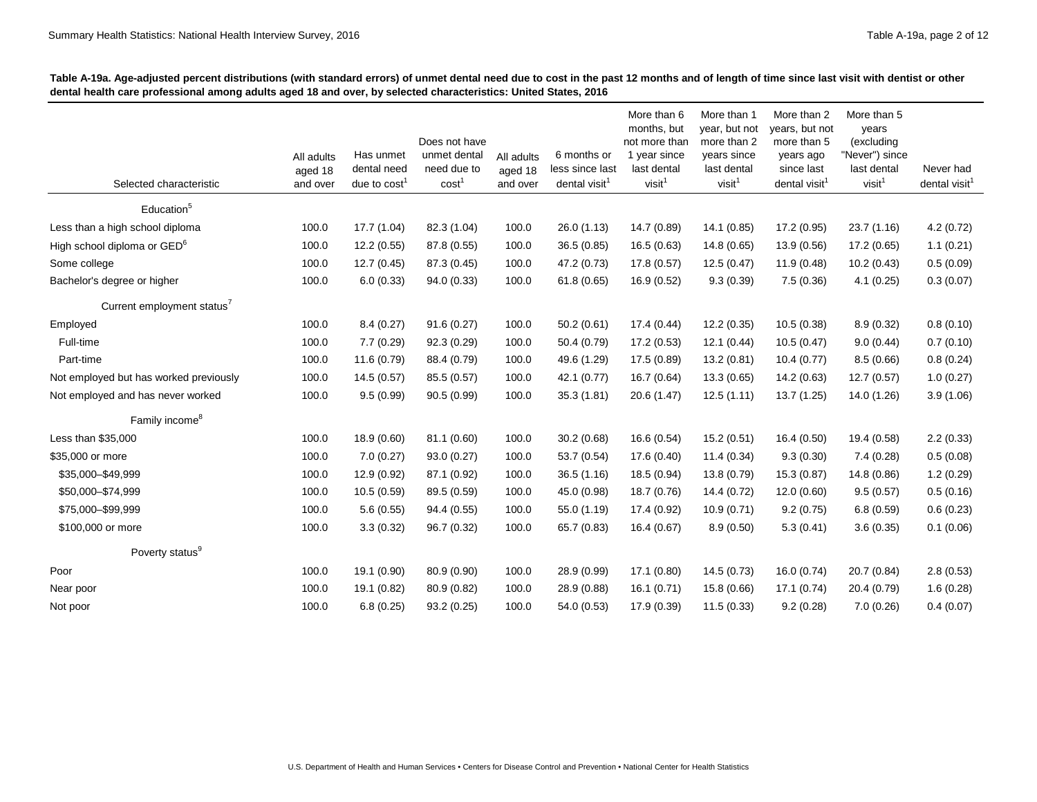|                                         |                     |                               |                                  |                     |                                              | More than 6                       | More than 1                       | More than 2                             | More than 5                       |                                        |
|-----------------------------------------|---------------------|-------------------------------|----------------------------------|---------------------|----------------------------------------------|-----------------------------------|-----------------------------------|-----------------------------------------|-----------------------------------|----------------------------------------|
|                                         |                     |                               | Does not have                    |                     |                                              | months, but<br>not more than      | year, but not<br>more than 2      | years, but not<br>more than 5           | years<br>(excluding               |                                        |
|                                         | All adults          | Has unmet                     | unmet dental                     | All adults          | 6 months or                                  | 1 year since                      | years since                       | years ago                               | "Never") since                    |                                        |
| Selected characteristic                 | aged 18<br>and over | dental need<br>due to $cost1$ | need due to<br>cost <sup>1</sup> | aged 18<br>and over | less since last<br>dental visit <sup>1</sup> | last dental<br>visit <sup>1</sup> | last dental<br>visit <sup>1</sup> | since last<br>dental visit <sup>1</sup> | last dental<br>visit <sup>1</sup> | Never had<br>dental visit <sup>1</sup> |
|                                         |                     |                               |                                  |                     |                                              |                                   |                                   |                                         |                                   |                                        |
| Education <sup>5</sup>                  |                     |                               |                                  |                     |                                              |                                   |                                   |                                         |                                   |                                        |
| Less than a high school diploma         | 100.0               | 17.7 (1.04)                   | 82.3 (1.04)                      | 100.0               | 26.0 (1.13)                                  | 14.7 (0.89)                       | 14.1 (0.85)                       | 17.2 (0.95)                             | 23.7 (1.16)                       | 4.2(0.72)                              |
| High school diploma or GED <sup>6</sup> | 100.0               | 12.2 (0.55)                   | 87.8 (0.55)                      | 100.0               | 36.5 (0.85)                                  | 16.5(0.63)                        | 14.8(0.65)                        | 13.9 (0.56)                             | 17.2 (0.65)                       | 1.1(0.21)                              |
| Some college                            | 100.0               | 12.7 (0.45)                   | 87.3 (0.45)                      | 100.0               | 47.2 (0.73)                                  | 17.8 (0.57)                       | 12.5(0.47)                        | 11.9(0.48)                              | 10.2(0.43)                        | 0.5(0.09)                              |
| Bachelor's degree or higher             | 100.0               | 6.0(0.33)                     | 94.0 (0.33)                      | 100.0               | 61.8(0.65)                                   | 16.9(0.52)                        | 9.3(0.39)                         | 7.5(0.36)                               | 4.1(0.25)                         | 0.3(0.07)                              |
| Current employment status <sup>7</sup>  |                     |                               |                                  |                     |                                              |                                   |                                   |                                         |                                   |                                        |
| Employed                                | 100.0               | 8.4(0.27)                     | 91.6(0.27)                       | 100.0               | 50.2(0.61)                                   | 17.4(0.44)                        | 12.2(0.35)                        | 10.5(0.38)                              | 8.9(0.32)                         | 0.8(0.10)                              |
| Full-time                               | 100.0               | 7.7(0.29)                     | 92.3(0.29)                       | 100.0               | 50.4 (0.79)                                  | 17.2 (0.53)                       | 12.1(0.44)                        | 10.5(0.47)                              | 9.0(0.44)                         | 0.7(0.10)                              |
| Part-time                               | 100.0               | 11.6 (0.79)                   | 88.4 (0.79)                      | 100.0               | 49.6 (1.29)                                  | 17.5 (0.89)                       | 13.2(0.81)                        | 10.4(0.77)                              | 8.5(0.66)                         | 0.8(0.24)                              |
| Not employed but has worked previously  | 100.0               | 14.5 (0.57)                   | 85.5 (0.57)                      | 100.0               | 42.1 (0.77)                                  | 16.7 (0.64)                       | 13.3 (0.65)                       | 14.2 (0.63)                             | 12.7(0.57)                        | 1.0(0.27)                              |
| Not employed and has never worked       | 100.0               | 9.5(0.99)                     | 90.5(0.99)                       | 100.0               | 35.3(1.81)                                   | 20.6 (1.47)                       | 12.5(1.11)                        | 13.7 (1.25)                             | 14.0 (1.26)                       | 3.9(1.06)                              |
| Family income <sup>8</sup>              |                     |                               |                                  |                     |                                              |                                   |                                   |                                         |                                   |                                        |
| Less than \$35,000                      | 100.0               | 18.9 (0.60)                   | 81.1 (0.60)                      | 100.0               | 30.2(0.68)                                   | 16.6 (0.54)                       | 15.2(0.51)                        | 16.4(0.50)                              | 19.4 (0.58)                       | 2.2(0.33)                              |
| \$35,000 or more                        | 100.0               | 7.0(0.27)                     | 93.0(0.27)                       | 100.0               | 53.7 (0.54)                                  | 17.6 (0.40)                       | 11.4(0.34)                        | 9.3(0.30)                               | 7.4(0.28)                         | 0.5(0.08)                              |
| \$35,000-\$49,999                       | 100.0               | 12.9 (0.92)                   | 87.1 (0.92)                      | 100.0               | 36.5(1.16)                                   | 18.5 (0.94)                       | 13.8 (0.79)                       | 15.3(0.87)                              | 14.8 (0.86)                       | 1.2(0.29)                              |
| \$50,000-\$74,999                       | 100.0               | 10.5(0.59)                    | 89.5 (0.59)                      | 100.0               | 45.0 (0.98)                                  | 18.7 (0.76)                       | 14.4 (0.72)                       | 12.0(0.60)                              | 9.5(0.57)                         | 0.5(0.16)                              |
| \$75,000-\$99,999                       | 100.0               | 5.6(0.55)                     | 94.4 (0.55)                      | 100.0               | 55.0 (1.19)                                  | 17.4 (0.92)                       | 10.9(0.71)                        | 9.2(0.75)                               | 6.8(0.59)                         | 0.6(0.23)                              |
| \$100,000 or more                       | 100.0               | 3.3(0.32)                     | 96.7 (0.32)                      | 100.0               | 65.7 (0.83)                                  | 16.4 (0.67)                       | 8.9(0.50)                         | 5.3(0.41)                               | 3.6(0.35)                         | 0.1(0.06)                              |
| Poverty status <sup>9</sup>             |                     |                               |                                  |                     |                                              |                                   |                                   |                                         |                                   |                                        |
| Poor                                    | 100.0               | 19.1 (0.90)                   | 80.9 (0.90)                      | 100.0               | 28.9 (0.99)                                  | 17.1(0.80)                        | 14.5(0.73)                        | 16.0(0.74)                              | 20.7 (0.84)                       | 2.8(0.53)                              |
| Near poor                               | 100.0               | 19.1 (0.82)                   | 80.9 (0.82)                      | 100.0               | 28.9 (0.88)                                  | 16.1(0.71)                        | 15.8 (0.66)                       | 17.1 (0.74)                             | 20.4 (0.79)                       | 1.6(0.28)                              |
| Not poor                                | 100.0               | 6.8(0.25)                     | 93.2(0.25)                       | 100.0               | 54.0 (0.53)                                  | 17.9 (0.39)                       | 11.5(0.33)                        | 9.2(0.28)                               | 7.0(0.26)                         | 0.4(0.07)                              |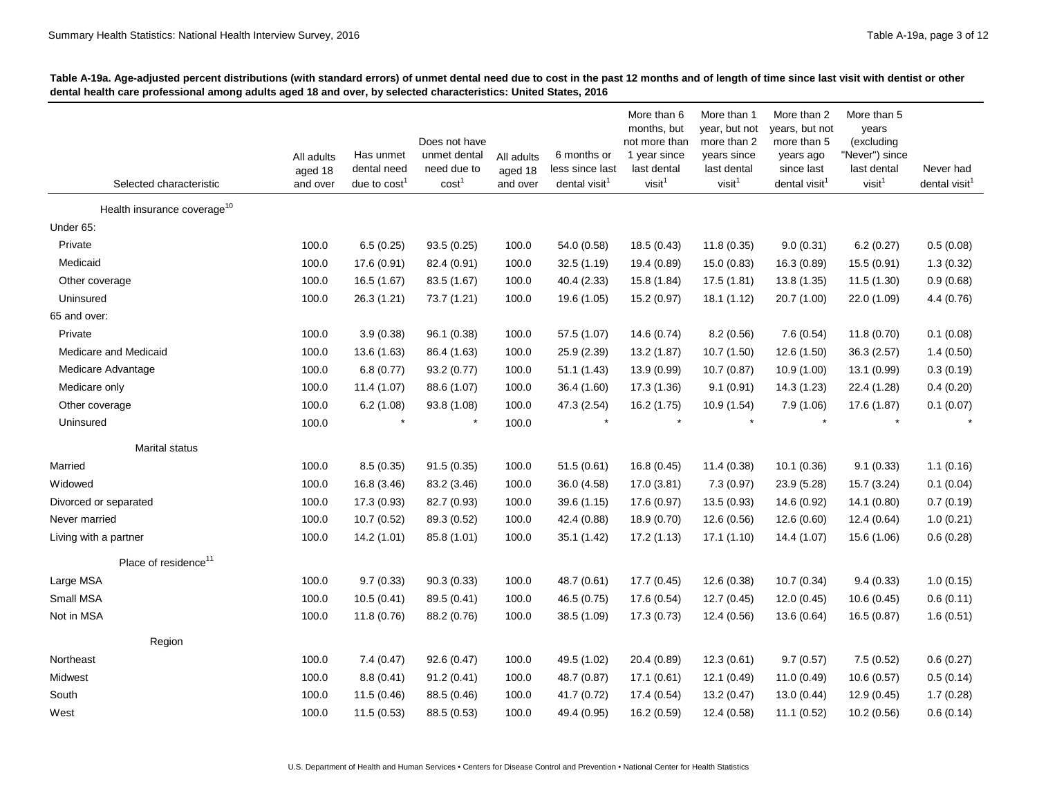| Selected characteristic                 | All adults<br>aged 18<br>and over | Has unmet<br>dental need<br>due to $cost1$ | Does not have<br>unmet dental<br>need due to<br>cost <sup>1</sup> | All adults<br>aged 18<br>and over | 6 months or<br>less since last<br>dental visit <sup>1</sup> | More than 6<br>months, but<br>not more than<br>1 year since<br>last dental<br>visit <sup>1</sup> | More than 1<br>year, but not<br>more than 2<br>years since<br>last dental<br>visit <sup>1</sup> | More than 2<br>years, but not<br>more than 5<br>years ago<br>since last<br>dental visit <sup>1</sup> | More than 5<br>years<br>(excluding<br>"Never") since<br>last dental<br>visit <sup>1</sup> | Never had<br>dental visit <sup>1</sup> |
|-----------------------------------------|-----------------------------------|--------------------------------------------|-------------------------------------------------------------------|-----------------------------------|-------------------------------------------------------------|--------------------------------------------------------------------------------------------------|-------------------------------------------------------------------------------------------------|------------------------------------------------------------------------------------------------------|-------------------------------------------------------------------------------------------|----------------------------------------|
| Health insurance coverage <sup>10</sup> |                                   |                                            |                                                                   |                                   |                                                             |                                                                                                  |                                                                                                 |                                                                                                      |                                                                                           |                                        |
| Under 65:                               |                                   |                                            |                                                                   |                                   |                                                             |                                                                                                  |                                                                                                 |                                                                                                      |                                                                                           |                                        |
| Private                                 | 100.0                             | 6.5(0.25)                                  | 93.5(0.25)                                                        | 100.0                             | 54.0 (0.58)                                                 | 18.5(0.43)                                                                                       | 11.8(0.35)                                                                                      | 9.0(0.31)                                                                                            | 6.2(0.27)                                                                                 | 0.5(0.08)                              |
| Medicaid                                | 100.0                             | 17.6 (0.91)                                | 82.4 (0.91)                                                       | 100.0                             | 32.5 (1.19)                                                 | 19.4 (0.89)                                                                                      | 15.0(0.83)                                                                                      | 16.3 (0.89)                                                                                          | 15.5 (0.91)                                                                               | 1.3(0.32)                              |
| Other coverage                          | 100.0                             | 16.5 (1.67)                                | 83.5 (1.67)                                                       | 100.0                             | 40.4 (2.33)                                                 | 15.8 (1.84)                                                                                      | 17.5 (1.81)                                                                                     | 13.8 (1.35)                                                                                          | 11.5(1.30)                                                                                | 0.9(0.68)                              |
| Uninsured                               | 100.0                             | 26.3 (1.21)                                | 73.7 (1.21)                                                       | 100.0                             | 19.6 (1.05)                                                 | 15.2 (0.97)                                                                                      | 18.1 (1.12)                                                                                     | 20.7 (1.00)                                                                                          | 22.0 (1.09)                                                                               | 4.4(0.76)                              |
| 65 and over:                            |                                   |                                            |                                                                   |                                   |                                                             |                                                                                                  |                                                                                                 |                                                                                                      |                                                                                           |                                        |
| Private                                 | 100.0                             | 3.9(0.38)                                  | 96.1 (0.38)                                                       | 100.0                             | 57.5 (1.07)                                                 | 14.6 (0.74)                                                                                      | 8.2(0.56)                                                                                       | 7.6(0.54)                                                                                            | 11.8(0.70)                                                                                | 0.1(0.08)                              |
| Medicare and Medicaid                   | 100.0                             | 13.6 (1.63)                                | 86.4 (1.63)                                                       | 100.0                             | 25.9 (2.39)                                                 | 13.2 (1.87)                                                                                      | 10.7 (1.50)                                                                                     | 12.6 (1.50)                                                                                          | 36.3 (2.57)                                                                               | 1.4(0.50)                              |
| Medicare Advantage                      | 100.0                             | 6.8(0.77)                                  | 93.2 (0.77)                                                       | 100.0                             | 51.1(1.43)                                                  | 13.9 (0.99)                                                                                      | 10.7(0.87)                                                                                      | 10.9 (1.00)                                                                                          | 13.1 (0.99)                                                                               | 0.3(0.19)                              |
| Medicare only                           | 100.0                             | 11.4 (1.07)                                | 88.6 (1.07)                                                       | 100.0                             | 36.4 (1.60)                                                 | 17.3 (1.36)                                                                                      | 9.1(0.91)                                                                                       | 14.3 (1.23)                                                                                          | 22.4 (1.28)                                                                               | 0.4(0.20)                              |
| Other coverage                          | 100.0                             | 6.2(1.08)                                  | 93.8 (1.08)                                                       | 100.0                             | 47.3 (2.54)                                                 | 16.2 (1.75)                                                                                      | 10.9 (1.54)                                                                                     | 7.9(1.06)                                                                                            | 17.6 (1.87)                                                                               | 0.1(0.07)                              |
| Uninsured                               | 100.0                             |                                            |                                                                   | 100.0                             |                                                             |                                                                                                  |                                                                                                 |                                                                                                      |                                                                                           |                                        |
| Marital status                          |                                   |                                            |                                                                   |                                   |                                                             |                                                                                                  |                                                                                                 |                                                                                                      |                                                                                           |                                        |
| Married                                 | 100.0                             | 8.5(0.35)                                  | 91.5(0.35)                                                        | 100.0                             | 51.5(0.61)                                                  | 16.8 (0.45)                                                                                      | 11.4(0.38)                                                                                      | 10.1(0.36)                                                                                           | 9.1(0.33)                                                                                 | 1.1(0.16)                              |
| Widowed                                 | 100.0                             | 16.8 (3.46)                                | 83.2 (3.46)                                                       | 100.0                             | 36.0 (4.58)                                                 | 17.0 (3.81)                                                                                      | 7.3(0.97)                                                                                       | 23.9 (5.28)                                                                                          | 15.7 (3.24)                                                                               | 0.1(0.04)                              |
| Divorced or separated                   | 100.0                             | 17.3 (0.93)                                | 82.7 (0.93)                                                       | 100.0                             | 39.6 (1.15)                                                 | 17.6 (0.97)                                                                                      | 13.5 (0.93)                                                                                     | 14.6 (0.92)                                                                                          | 14.1 (0.80)                                                                               | 0.7(0.19)                              |
| Never married                           | 100.0                             | 10.7 (0.52)                                | 89.3 (0.52)                                                       | 100.0                             | 42.4 (0.88)                                                 | 18.9 (0.70)                                                                                      | 12.6 (0.56)                                                                                     | 12.6 (0.60)                                                                                          | 12.4 (0.64)                                                                               | 1.0(0.21)                              |
| Living with a partner                   | 100.0                             | 14.2 (1.01)                                | 85.8 (1.01)                                                       | 100.0                             | 35.1 (1.42)                                                 | 17.2 (1.13)                                                                                      | 17.1(1.10)                                                                                      | 14.4 (1.07)                                                                                          | 15.6 (1.06)                                                                               | 0.6(0.28)                              |
| Place of residence <sup>11</sup>        |                                   |                                            |                                                                   |                                   |                                                             |                                                                                                  |                                                                                                 |                                                                                                      |                                                                                           |                                        |
| Large MSA                               | 100.0                             | 9.7(0.33)                                  | 90.3(0.33)                                                        | 100.0                             | 48.7 (0.61)                                                 | 17.7 (0.45)                                                                                      | 12.6 (0.38)                                                                                     | 10.7(0.34)                                                                                           | 9.4(0.33)                                                                                 | 1.0(0.15)                              |
| Small MSA                               | 100.0                             | 10.5(0.41)                                 | 89.5 (0.41)                                                       | 100.0                             | 46.5 (0.75)                                                 | 17.6 (0.54)                                                                                      | 12.7(0.45)                                                                                      | 12.0 (0.45)                                                                                          | 10.6(0.45)                                                                                | 0.6(0.11)                              |
| Not in MSA                              | 100.0                             | 11.8 (0.76)                                | 88.2 (0.76)                                                       | 100.0                             | 38.5 (1.09)                                                 | 17.3(0.73)                                                                                       | 12.4 (0.56)                                                                                     | 13.6 (0.64)                                                                                          | 16.5(0.87)                                                                                | 1.6(0.51)                              |
| Region                                  |                                   |                                            |                                                                   |                                   |                                                             |                                                                                                  |                                                                                                 |                                                                                                      |                                                                                           |                                        |
| Northeast                               | 100.0                             | 7.4(0.47)                                  | 92.6(0.47)                                                        | 100.0                             | 49.5 (1.02)                                                 | 20.4 (0.89)                                                                                      | 12.3(0.61)                                                                                      | 9.7(0.57)                                                                                            | 7.5(0.52)                                                                                 | 0.6(0.27)                              |
| Midwest                                 | 100.0                             | 8.8(0.41)                                  | 91.2(0.41)                                                        | 100.0                             | 48.7 (0.87)                                                 | 17.1(0.61)                                                                                       | 12.1 (0.49)                                                                                     | 11.0 (0.49)                                                                                          | 10.6(0.57)                                                                                | 0.5(0.14)                              |
| South                                   | 100.0                             | 11.5(0.46)                                 | 88.5 (0.46)                                                       | 100.0                             | 41.7 (0.72)                                                 | 17.4 (0.54)                                                                                      | 13.2 (0.47)                                                                                     | 13.0(0.44)                                                                                           | 12.9(0.45)                                                                                | 1.7(0.28)                              |
| West                                    | 100.0                             | 11.5(0.53)                                 | 88.5 (0.53)                                                       | 100.0                             | 49.4 (0.95)                                                 | 16.2 (0.59)                                                                                      | 12.4 (0.58)                                                                                     | 11.1 (0.52)                                                                                          | 10.2(0.56)                                                                                | 0.6(0.14)                              |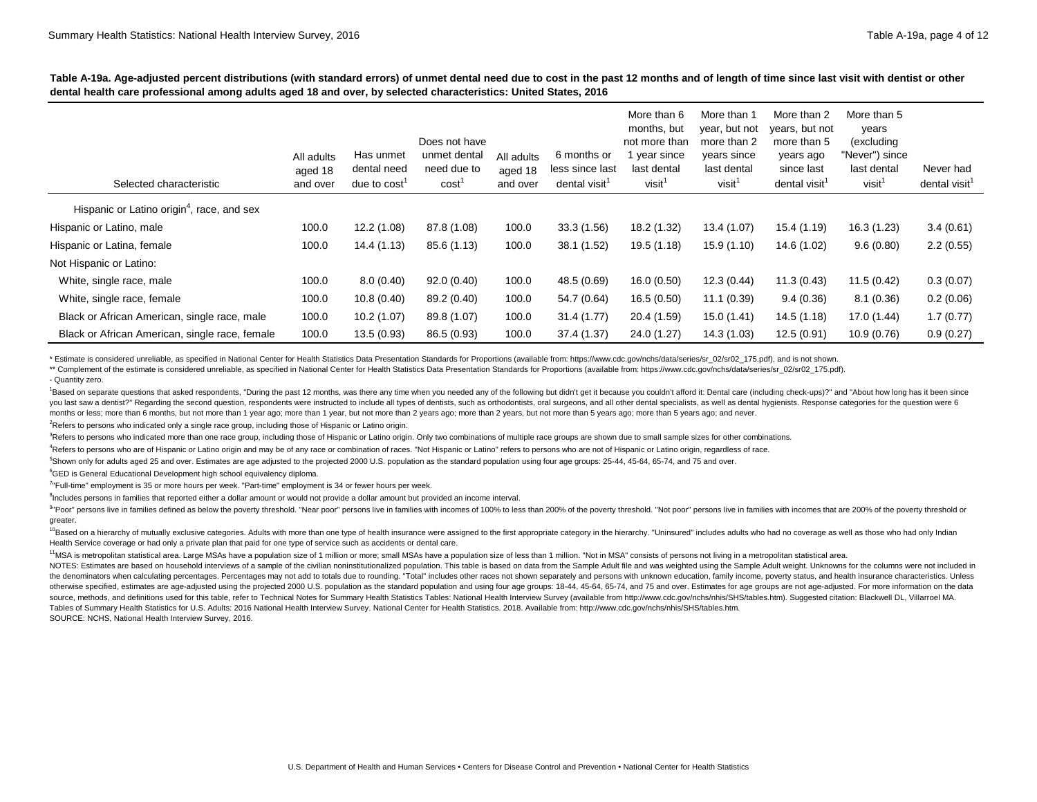|                                                        |                                   |                                                      |                                                                   |                                   |                                                             | More than 6                                                                     | More than 1                                                                      | More than 2                                                                           | More than 5                                                                |                                        |
|--------------------------------------------------------|-----------------------------------|------------------------------------------------------|-------------------------------------------------------------------|-----------------------------------|-------------------------------------------------------------|---------------------------------------------------------------------------------|----------------------------------------------------------------------------------|---------------------------------------------------------------------------------------|----------------------------------------------------------------------------|----------------------------------------|
| Selected characteristic                                | All adults<br>aged 18<br>and over | Has unmet<br>dental need<br>due to cost <sup>1</sup> | Does not have<br>unmet dental<br>need due to<br>cost <sup>1</sup> | All adults<br>aged 18<br>and over | 6 months or<br>less since last<br>dental visit <sup>1</sup> | months, but<br>not more than<br>vear since<br>last dental<br>visit <sup>1</sup> | year, but not<br>more than 2<br>years since<br>last dental<br>visit <sup>1</sup> | years, but not<br>more than 5<br>years ago<br>since last<br>dental visit <sup>1</sup> | years<br>(excluding<br>"Never") since<br>last dental<br>visit <sup>1</sup> | Never had<br>dental visit <sup>1</sup> |
| Hispanic or Latino origin <sup>4</sup> , race, and sex |                                   |                                                      |                                                                   |                                   |                                                             |                                                                                 |                                                                                  |                                                                                       |                                                                            |                                        |
| Hispanic or Latino, male                               | 100.0                             | 12.2 (1.08)                                          | 87.8 (1.08)                                                       | 100.0                             | 33.3(1.56)                                                  | 18.2 (1.32)                                                                     | 13.4 (1.07)                                                                      | 15.4 (1.19)                                                                           | 16.3 (1.23)                                                                | 3.4(0.61)                              |
| Hispanic or Latina, female                             | 100.0                             | 14.4 (1.13)                                          | 85.6 (1.13)                                                       | 100.0                             | 38.1 (1.52)                                                 | 19.5 (1.18)                                                                     | 15.9(1.10)                                                                       | 14.6 (1.02)                                                                           | 9.6(0.80)                                                                  | 2.2(0.55)                              |
| Not Hispanic or Latino:                                |                                   |                                                      |                                                                   |                                   |                                                             |                                                                                 |                                                                                  |                                                                                       |                                                                            |                                        |
| White, single race, male                               | 100.0                             | 8.0(0.40)                                            | 92.0(0.40)                                                        | 100.0                             | 48.5 (0.69)                                                 | 16.0(0.50)                                                                      | 12.3(0.44)                                                                       | 11.3(0.43)                                                                            | 11.5(0.42)                                                                 | 0.3(0.07)                              |
| White, single race, female                             | 100.0                             | 10.8(0.40)                                           | 89.2 (0.40)                                                       | 100.0                             | 54.7 (0.64)                                                 | 16.5(0.50)                                                                      | 11.1 (0.39)                                                                      | 9.4(0.36)                                                                             | 8.1(0.36)                                                                  | 0.2(0.06)                              |
| Black or African American, single race, male           | 100.0                             | 10.2(1.07)                                           | 89.8 (1.07)                                                       | 100.0                             | 31.4(1.77)                                                  | 20.4 (1.59)                                                                     | 15.0 (1.41)                                                                      | 14.5(1.18)                                                                            | 17.0 (1.44)                                                                | 1.7(0.77)                              |
| Black or African American, single race, female         | 100.0                             | 13.5(0.93)                                           | 86.5 (0.93)                                                       | 100.0                             | 37.4 (1.37)                                                 | 24.0 (1.27)                                                                     | 14.3 (1.03)                                                                      | 12.5(0.91)                                                                            | 10.9(0.76)                                                                 | 0.9(0.27)                              |

\* Estimate is considered unreliable, as specified in National Center for Health Statistics Data Presentation Standards for Proportions (available from: https://www.cdc.gov/nchs/data/series/sr 02/sr02 175.pdf), and is not s

\*\* Complement of the estimate is considered unreliable, as specified in National Center for Health Statistics Data Presentation Standards for Proportions (available from: https://www.cdc.gov/nchs/data/series/sr\_02/sr02\_175

- Quantity zero.

Based on separate questions that asked respondents, "During the past 12 months, was there any time when you needed any of the following but didn't get it because you couldn't afford it: Dental care (including check-ups)?" you last saw a dentist?" Regarding the second question, respondents were instructed to include all types of dentists, such as orthodontists, oral surgeons, and all other dental specialists, as well as dental hygienists. Re months or less; more than 6 months, but not more than 1 year ago; more than 1 year, but not more than 2 years, but not more than 5 years ago; more than 5 years ago; and never.

<sup>2</sup>Refers to persons who indicated only a single race group, including those of Hispanic or Latino origin.

<sup>3</sup>Refers to persons who indicated more than one race group, including those of Hispanic or Latino origin. Only two combinations of multiple race groups are shown due to small sample sizes for other combinations.

<sup>4</sup>Refers to persons who are of Hispanic or Latino origin and may be of any race or combination of races. "Not Hispanic or Latino" refers to persons who are not of Hispanic or Latino origin, regardless of race.

<sup>5</sup>Shown only for adults aged 25 and over. Estimates are age adjusted to the projected 2000 U.S. population as the standard population using four age groups: 25-44, 45-64, 65-74, and 75 and over.

<sup>6</sup>GED is General Educational Development high school equivalency diploma.

<sup>7</sup>"Full-time" employment is 35 or more hours per week. "Part-time" employment is 34 or fewer hours per week.

<sup>8</sup>Includes persons in families that reported either a dollar amount or would not provide a dollar amount but provided an income interval.

<sup>9</sup>"Poor" persons live in families defined as below the poverty threshold. "Near poor" persons live in families with incomes of 100% to less than 200% of the poverty threshold. "Not poor" persons live in families with inco greater.

<sup>10</sup>Based on a hierarchy of mutually exclusive categories. Adults with more than one type of health insurance were assigned to the first appropriate category in the hierarchy. "Uninsured" includes adults who had no coverag Health Service coverage or had only a private plan that paid for one type of service such as accidents or dental care.

<sup>11</sup>MSA is metropolitan statistical area. Large MSAs have a population size of 1 million or more; small MSAs have a population size of less than 1 million. "Not in MSA" consists of persons not living in a metropolitan stat

NOTES: Estimates are based on household interviews of a sample of the civilian noninstitutionalized population. This table is based on data from the Sample Adult file and was weighted using the Sample Adult weight. Unknown the denominators when calculating percentages. Percentages may not add to totals due to rounding. "Total" includes other races not shown separately and persons with unknown education, family income, poverty status, and hea otherwise specified, estimates are age-adjusted using the projected 2000 U.S. population as the standard population and using four age groups: 18-44, 45-64, 65-74, and 75 and over. Estimates for age groups are not age-adju source, methods, and definitions used for this table, refer to Technical Notes for Summary Health Statistics Tables: National Health Interview Survey (available from [http://www.cdc.gov/nchs/nhis/SHS/tables.htm\). S](http://www.cdc.gov/nchs/nhis/SHS/tables.htm)uggested Tables of Summary Health Statistics for U.S. Adults: 2016 National Health Interview Survey. National Center for Health Statistics. 2018. Available from: [http://www.cdc.gov/nchs/nhis/SHS/tables.htm.](http://www.cdc.gov/nchs/nhis/SHS/tables.htm)  SOURCE: NCHS, National Health Interview Survey, 2016.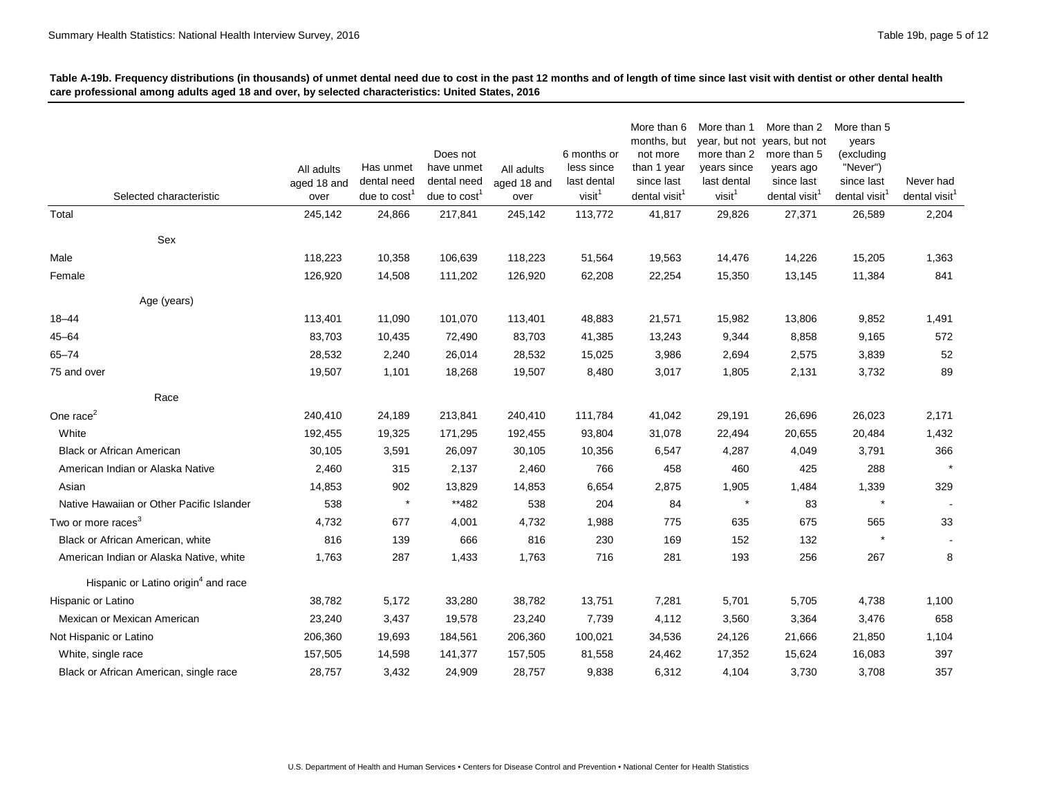| Selected characteristic                         | All adults<br>aged 18 and<br>over | Has unmet<br>dental need<br>due to $cost1$ | Does not<br>have unmet<br>dental need<br>due to cost | All adults<br>aged 18 and<br>over | 6 months or<br>less since<br>last dental<br>visit <sup>1</sup> | More than 6<br>months, but<br>not more<br>than 1 year<br>since last<br>dental visit <sup>1</sup> | More than 1<br>more than 2<br>years since<br>last dental<br>visit <sup>1</sup> | More than 2<br>year, but not years, but not<br>more than 5<br>years ago<br>since last<br>dental visit <sup>1</sup> | More than 5<br>years<br>(excluding<br>"Never")<br>since last<br>dental visit | Never had<br>dental visit $1$ |
|-------------------------------------------------|-----------------------------------|--------------------------------------------|------------------------------------------------------|-----------------------------------|----------------------------------------------------------------|--------------------------------------------------------------------------------------------------|--------------------------------------------------------------------------------|--------------------------------------------------------------------------------------------------------------------|------------------------------------------------------------------------------|-------------------------------|
| Total                                           | 245,142                           | 24,866                                     | 217,841                                              | 245,142                           | 113,772                                                        | 41,817                                                                                           | 29,826                                                                         | 27,371                                                                                                             | 26,589                                                                       | 2,204                         |
|                                                 |                                   |                                            |                                                      |                                   |                                                                |                                                                                                  |                                                                                |                                                                                                                    |                                                                              |                               |
| Sex                                             |                                   |                                            |                                                      |                                   |                                                                |                                                                                                  |                                                                                |                                                                                                                    |                                                                              |                               |
| Male                                            | 118,223                           | 10,358                                     | 106,639                                              | 118,223                           | 51,564                                                         | 19,563                                                                                           | 14,476                                                                         | 14,226                                                                                                             | 15,205                                                                       | 1,363                         |
| Female                                          | 126,920                           | 14,508                                     | 111,202                                              | 126,920                           | 62,208                                                         | 22,254                                                                                           | 15,350                                                                         | 13,145                                                                                                             | 11,384                                                                       | 841                           |
| Age (years)                                     |                                   |                                            |                                                      |                                   |                                                                |                                                                                                  |                                                                                |                                                                                                                    |                                                                              |                               |
| 18-44                                           | 113,401                           | 11,090                                     | 101,070                                              | 113,401                           | 48,883                                                         | 21,571                                                                                           | 15,982                                                                         | 13,806                                                                                                             | 9,852                                                                        | 1,491                         |
| $45 - 64$                                       | 83,703                            | 10,435                                     | 72,490                                               | 83,703                            | 41,385                                                         | 13,243                                                                                           | 9,344                                                                          | 8,858                                                                                                              | 9,165                                                                        | 572                           |
| $65 - 74$                                       | 28,532                            | 2,240                                      | 26,014                                               | 28,532                            | 15,025                                                         | 3,986                                                                                            | 2,694                                                                          | 2,575                                                                                                              | 3,839                                                                        | 52                            |
| 75 and over                                     | 19,507                            | 1,101                                      | 18,268                                               | 19,507                            | 8,480                                                          | 3,017                                                                                            | 1,805                                                                          | 2,131                                                                                                              | 3,732                                                                        | 89                            |
| Race                                            |                                   |                                            |                                                      |                                   |                                                                |                                                                                                  |                                                                                |                                                                                                                    |                                                                              |                               |
| One race <sup>2</sup>                           | 240,410                           | 24,189                                     | 213,841                                              | 240,410                           | 111,784                                                        | 41,042                                                                                           | 29,191                                                                         | 26,696                                                                                                             | 26,023                                                                       | 2,171                         |
| White                                           | 192,455                           | 19,325                                     | 171,295                                              | 192,455                           | 93,804                                                         | 31,078                                                                                           | 22,494                                                                         | 20,655                                                                                                             | 20,484                                                                       | 1,432                         |
| <b>Black or African American</b>                | 30,105                            | 3,591                                      | 26,097                                               | 30,105                            | 10,356                                                         | 6,547                                                                                            | 4,287                                                                          | 4,049                                                                                                              | 3,791                                                                        | 366                           |
| American Indian or Alaska Native                | 2,460                             | 315                                        | 2,137                                                | 2,460                             | 766                                                            | 458                                                                                              | 460                                                                            | 425                                                                                                                | 288                                                                          |                               |
| Asian                                           | 14,853                            | 902                                        | 13,829                                               | 14,853                            | 6,654                                                          | 2,875                                                                                            | 1,905                                                                          | 1,484                                                                                                              | 1,339                                                                        | 329                           |
| Native Hawaiian or Other Pacific Islander       | 538                               | $\star$                                    | **482                                                | 538                               | 204                                                            | 84                                                                                               | $\star$                                                                        | 83                                                                                                                 |                                                                              |                               |
| Two or more races <sup>3</sup>                  | 4,732                             | 677                                        | 4,001                                                | 4,732                             | 1,988                                                          | 775                                                                                              | 635                                                                            | 675                                                                                                                | 565                                                                          | 33                            |
| Black or African American, white                | 816                               | 139                                        | 666                                                  | 816                               | 230                                                            | 169                                                                                              | 152                                                                            | 132                                                                                                                | $\star$                                                                      |                               |
| American Indian or Alaska Native, white         | 1,763                             | 287                                        | 1,433                                                | 1,763                             | 716                                                            | 281                                                                                              | 193                                                                            | 256                                                                                                                | 267                                                                          | 8                             |
| Hispanic or Latino origin <sup>4</sup> and race |                                   |                                            |                                                      |                                   |                                                                |                                                                                                  |                                                                                |                                                                                                                    |                                                                              |                               |
| Hispanic or Latino                              | 38,782                            | 5,172                                      | 33,280                                               | 38,782                            | 13,751                                                         | 7,281                                                                                            | 5,701                                                                          | 5,705                                                                                                              | 4,738                                                                        | 1,100                         |
| Mexican or Mexican American                     | 23,240                            | 3,437                                      | 19,578                                               | 23,240                            | 7,739                                                          | 4,112                                                                                            | 3,560                                                                          | 3,364                                                                                                              | 3,476                                                                        | 658                           |
| Not Hispanic or Latino                          | 206,360                           | 19,693                                     | 184,561                                              | 206,360                           | 100,021                                                        | 34,536                                                                                           | 24,126                                                                         | 21,666                                                                                                             | 21,850                                                                       | 1,104                         |
| White, single race                              | 157,505                           | 14,598                                     | 141,377                                              | 157,505                           | 81,558                                                         | 24,462                                                                                           | 17,352                                                                         | 15,624                                                                                                             | 16,083                                                                       | 397                           |
| Black or African American, single race          | 28,757                            | 3,432                                      | 24,909                                               | 28,757                            | 9,838                                                          | 6,312                                                                                            | 4,104                                                                          | 3,730                                                                                                              | 3,708                                                                        | 357                           |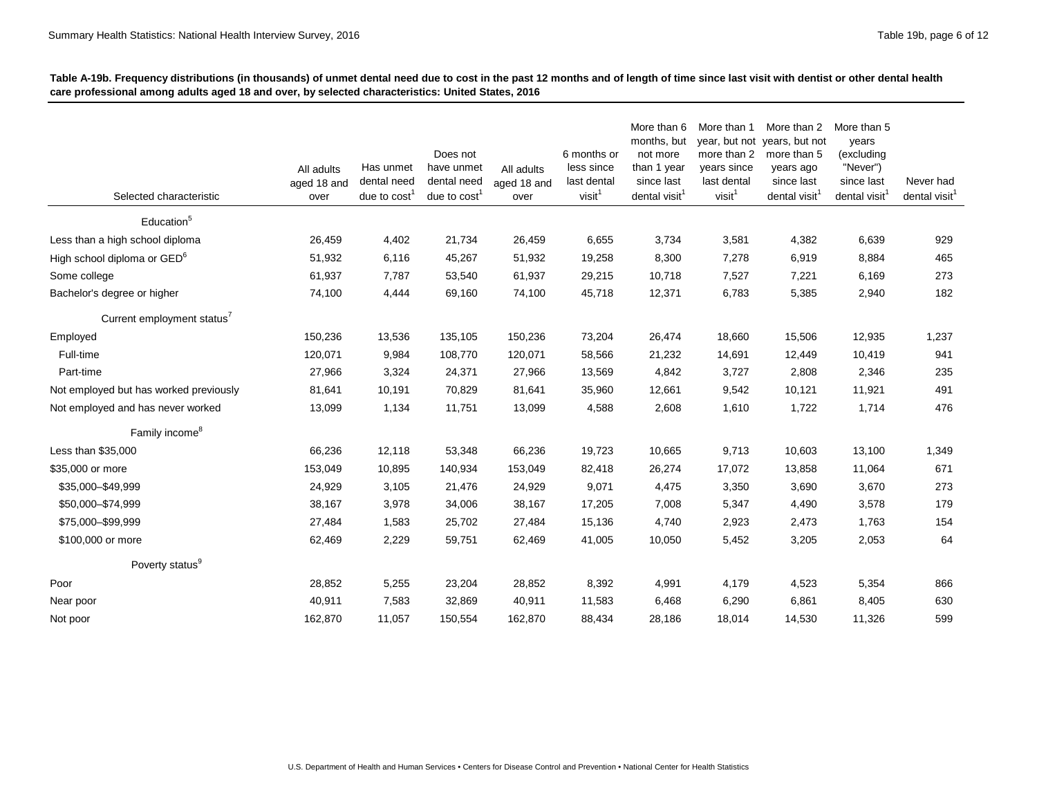| Selected characteristic                 | All adults<br>aged 18 and<br>over | Has unmet<br>dental need<br>due to $cost1$ | Does not<br>have unmet<br>dental need<br>due to $cost1$ | All adults<br>aged 18 and<br>over | 6 months or<br>less since<br>last dental<br>visit <sup>1</sup> | More than 6<br>months, but<br>not more<br>than 1 year<br>since last<br>dental visit <sup>1</sup> | More than 1<br>year, but not<br>more than 2<br>years since<br>last dental<br>visit <sup>1</sup> | More than 2<br>years, but not<br>more than 5<br>years ago<br>since last<br>dental visit | More than 5<br>years<br>(excluding<br>"Never")<br>since last<br>dental visit <sup>1</sup> | Never had<br>dental visit $1$ |
|-----------------------------------------|-----------------------------------|--------------------------------------------|---------------------------------------------------------|-----------------------------------|----------------------------------------------------------------|--------------------------------------------------------------------------------------------------|-------------------------------------------------------------------------------------------------|-----------------------------------------------------------------------------------------|-------------------------------------------------------------------------------------------|-------------------------------|
| Education <sup>5</sup>                  |                                   |                                            |                                                         |                                   |                                                                |                                                                                                  |                                                                                                 |                                                                                         |                                                                                           |                               |
| Less than a high school diploma         | 26,459                            | 4,402                                      | 21,734                                                  | 26,459                            | 6,655                                                          | 3,734                                                                                            | 3,581                                                                                           | 4,382                                                                                   | 6,639                                                                                     | 929                           |
| High school diploma or GED <sup>6</sup> | 51,932                            | 6,116                                      | 45,267                                                  | 51,932                            | 19,258                                                         | 8,300                                                                                            | 7,278                                                                                           | 6,919                                                                                   | 8,884                                                                                     | 465                           |
| Some college                            | 61,937                            | 7,787                                      | 53,540                                                  | 61,937                            | 29,215                                                         | 10,718                                                                                           | 7,527                                                                                           | 7,221                                                                                   | 6,169                                                                                     | 273                           |
| Bachelor's degree or higher             | 74,100                            | 4,444                                      | 69,160                                                  | 74,100                            | 45,718                                                         | 12,371                                                                                           | 6,783                                                                                           | 5,385                                                                                   | 2,940                                                                                     | 182                           |
| Current employment status'              |                                   |                                            |                                                         |                                   |                                                                |                                                                                                  |                                                                                                 |                                                                                         |                                                                                           |                               |
| Employed                                | 150,236                           | 13,536                                     | 135,105                                                 | 150,236                           | 73,204                                                         | 26,474                                                                                           | 18,660                                                                                          | 15,506                                                                                  | 12,935                                                                                    | 1,237                         |
| Full-time                               | 120,071                           | 9,984                                      | 108,770                                                 | 120,071                           | 58,566                                                         | 21,232                                                                                           | 14,691                                                                                          | 12,449                                                                                  | 10,419                                                                                    | 941                           |
| Part-time                               | 27,966                            | 3,324                                      | 24,371                                                  | 27,966                            | 13,569                                                         | 4,842                                                                                            | 3,727                                                                                           | 2,808                                                                                   | 2,346                                                                                     | 235                           |
| Not employed but has worked previously  | 81,641                            | 10,191                                     | 70,829                                                  | 81,641                            | 35,960                                                         | 12,661                                                                                           | 9,542                                                                                           | 10,121                                                                                  | 11,921                                                                                    | 491                           |
| Not employed and has never worked       | 13,099                            | 1,134                                      | 11,751                                                  | 13,099                            | 4,588                                                          | 2,608                                                                                            | 1,610                                                                                           | 1,722                                                                                   | 1,714                                                                                     | 476                           |
| Family income <sup>8</sup>              |                                   |                                            |                                                         |                                   |                                                                |                                                                                                  |                                                                                                 |                                                                                         |                                                                                           |                               |
| Less than \$35,000                      | 66,236                            | 12,118                                     | 53,348                                                  | 66,236                            | 19,723                                                         | 10,665                                                                                           | 9,713                                                                                           | 10,603                                                                                  | 13,100                                                                                    | 1,349                         |
| \$35,000 or more                        | 153,049                           | 10,895                                     | 140,934                                                 | 153,049                           | 82,418                                                         | 26,274                                                                                           | 17,072                                                                                          | 13,858                                                                                  | 11,064                                                                                    | 671                           |
| \$35,000-\$49,999                       | 24,929                            | 3,105                                      | 21,476                                                  | 24,929                            | 9,071                                                          | 4,475                                                                                            | 3,350                                                                                           | 3,690                                                                                   | 3,670                                                                                     | 273                           |
| \$50,000-\$74,999                       | 38,167                            | 3,978                                      | 34,006                                                  | 38,167                            | 17,205                                                         | 7,008                                                                                            | 5,347                                                                                           | 4,490                                                                                   | 3,578                                                                                     | 179                           |
| \$75,000-\$99,999                       | 27,484                            | 1,583                                      | 25,702                                                  | 27,484                            | 15,136                                                         | 4,740                                                                                            | 2,923                                                                                           | 2,473                                                                                   | 1,763                                                                                     | 154                           |
| \$100,000 or more                       | 62,469                            | 2,229                                      | 59,751                                                  | 62,469                            | 41,005                                                         | 10,050                                                                                           | 5,452                                                                                           | 3,205                                                                                   | 2,053                                                                                     | 64                            |
| Poverty status <sup>9</sup>             |                                   |                                            |                                                         |                                   |                                                                |                                                                                                  |                                                                                                 |                                                                                         |                                                                                           |                               |
| Poor                                    | 28,852                            | 5,255                                      | 23,204                                                  | 28,852                            | 8,392                                                          | 4,991                                                                                            | 4,179                                                                                           | 4,523                                                                                   | 5,354                                                                                     | 866                           |
| Near poor                               | 40,911                            | 7,583                                      | 32,869                                                  | 40,911                            | 11,583                                                         | 6,468                                                                                            | 6,290                                                                                           | 6,861                                                                                   | 8,405                                                                                     | 630                           |
| Not poor                                | 162,870                           | 11,057                                     | 150,554                                                 | 162,870                           | 88,434                                                         | 28,186                                                                                           | 18,014                                                                                          | 14,530                                                                                  | 11,326                                                                                    | 599                           |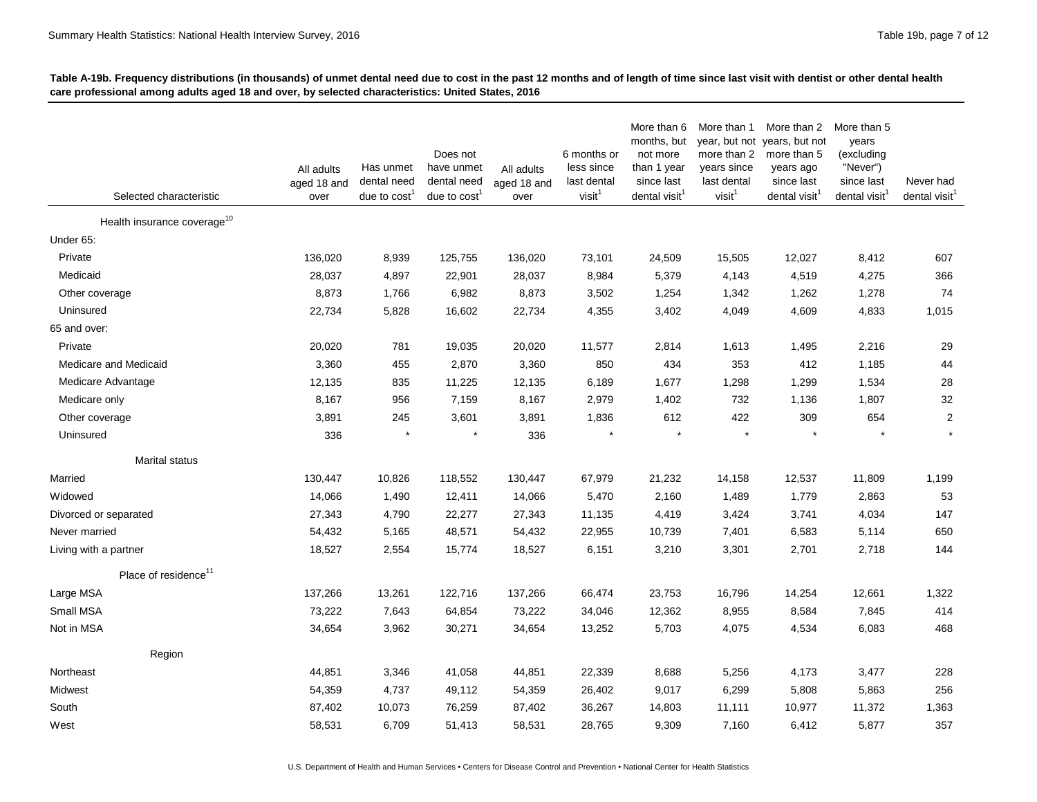| Selected characteristic                 | All adults<br>aged 18 and<br>over | Has unmet<br>dental need<br>due to $cost1$ | Does not<br>have unmet<br>dental need<br>due to $cost1$ | All adults<br>aged 18 and<br>over | 6 months or<br>less since<br>last dental<br>visit <sup>1</sup> | More than 6<br>months, but<br>not more<br>than 1 year<br>since last<br>dental visit <sup>1</sup> | More than 1<br>year, but not<br>more than 2<br>years since<br>last dental<br>visit <sup>1</sup> | More than 2<br>years, but not<br>more than 5<br>years ago<br>since last<br>dental visit <sup>1</sup> | More than 5<br>years<br>(excluding<br>"Never")<br>since last<br>dental visit <sup>1</sup> | Never had<br>dental visit <sup>1</sup> |
|-----------------------------------------|-----------------------------------|--------------------------------------------|---------------------------------------------------------|-----------------------------------|----------------------------------------------------------------|--------------------------------------------------------------------------------------------------|-------------------------------------------------------------------------------------------------|------------------------------------------------------------------------------------------------------|-------------------------------------------------------------------------------------------|----------------------------------------|
| Health insurance coverage <sup>10</sup> |                                   |                                            |                                                         |                                   |                                                                |                                                                                                  |                                                                                                 |                                                                                                      |                                                                                           |                                        |
| Under 65:                               |                                   |                                            |                                                         |                                   |                                                                |                                                                                                  |                                                                                                 |                                                                                                      |                                                                                           |                                        |
| Private                                 | 136,020                           | 8,939                                      | 125,755                                                 | 136,020                           | 73,101                                                         | 24,509                                                                                           | 15,505                                                                                          | 12,027                                                                                               | 8,412                                                                                     | 607                                    |
| Medicaid                                | 28,037                            | 4,897                                      | 22,901                                                  | 28,037                            | 8,984                                                          | 5,379                                                                                            | 4,143                                                                                           | 4,519                                                                                                | 4,275                                                                                     | 366                                    |
| Other coverage                          | 8,873                             | 1,766                                      | 6,982                                                   | 8,873                             | 3,502                                                          | 1,254                                                                                            | 1,342                                                                                           | 1,262                                                                                                | 1,278                                                                                     | 74                                     |
| Uninsured                               | 22,734                            | 5,828                                      | 16,602                                                  | 22,734                            | 4,355                                                          | 3,402                                                                                            | 4,049                                                                                           | 4,609                                                                                                | 4,833                                                                                     | 1,015                                  |
| 65 and over:                            |                                   |                                            |                                                         |                                   |                                                                |                                                                                                  |                                                                                                 |                                                                                                      |                                                                                           |                                        |
| Private                                 | 20,020                            | 781                                        | 19,035                                                  | 20,020                            | 11,577                                                         | 2,814                                                                                            | 1,613                                                                                           | 1,495                                                                                                | 2,216                                                                                     | 29                                     |
| Medicare and Medicaid                   | 3,360                             | 455                                        | 2,870                                                   | 3,360                             | 850                                                            | 434                                                                                              | 353                                                                                             | 412                                                                                                  | 1,185                                                                                     | 44                                     |
| Medicare Advantage                      | 12,135                            | 835                                        | 11,225                                                  | 12,135                            | 6,189                                                          | 1,677                                                                                            | 1,298                                                                                           | 1,299                                                                                                | 1,534                                                                                     | 28                                     |
| Medicare only                           | 8,167                             | 956                                        | 7,159                                                   | 8,167                             | 2,979                                                          | 1,402                                                                                            | 732                                                                                             | 1,136                                                                                                | 1,807                                                                                     | 32                                     |
| Other coverage                          | 3,891                             | 245                                        | 3,601                                                   | 3,891                             | 1,836                                                          | 612                                                                                              | 422                                                                                             | 309                                                                                                  | 654                                                                                       | $\overline{2}$                         |
| Uninsured                               | 336                               | $\star$                                    | $\star$                                                 | 336                               |                                                                |                                                                                                  | $\star$                                                                                         |                                                                                                      |                                                                                           |                                        |
| Marital status                          |                                   |                                            |                                                         |                                   |                                                                |                                                                                                  |                                                                                                 |                                                                                                      |                                                                                           |                                        |
| Married                                 | 130,447                           | 10,826                                     | 118,552                                                 | 130,447                           | 67,979                                                         | 21,232                                                                                           | 14,158                                                                                          | 12,537                                                                                               | 11,809                                                                                    | 1,199                                  |
| Widowed                                 | 14,066                            | 1,490                                      | 12,411                                                  | 14,066                            | 5,470                                                          | 2,160                                                                                            | 1,489                                                                                           | 1,779                                                                                                | 2,863                                                                                     | 53                                     |
| Divorced or separated                   | 27,343                            | 4,790                                      | 22,277                                                  | 27,343                            | 11,135                                                         | 4,419                                                                                            | 3,424                                                                                           | 3,741                                                                                                | 4,034                                                                                     | 147                                    |
| Never married                           | 54,432                            | 5,165                                      | 48,571                                                  | 54,432                            | 22,955                                                         | 10,739                                                                                           | 7,401                                                                                           | 6,583                                                                                                | 5,114                                                                                     | 650                                    |
| Living with a partner                   | 18,527                            | 2,554                                      | 15,774                                                  | 18,527                            | 6,151                                                          | 3,210                                                                                            | 3,301                                                                                           | 2,701                                                                                                | 2,718                                                                                     | 144                                    |
| Place of residence <sup>11</sup>        |                                   |                                            |                                                         |                                   |                                                                |                                                                                                  |                                                                                                 |                                                                                                      |                                                                                           |                                        |
| Large MSA                               | 137,266                           | 13,261                                     | 122,716                                                 | 137,266                           | 66,474                                                         | 23,753                                                                                           | 16,796                                                                                          | 14,254                                                                                               | 12,661                                                                                    | 1,322                                  |
| Small MSA                               | 73,222                            | 7,643                                      | 64,854                                                  | 73,222                            | 34,046                                                         | 12,362                                                                                           | 8,955                                                                                           | 8,584                                                                                                | 7,845                                                                                     | 414                                    |
| Not in MSA                              | 34,654                            | 3,962                                      | 30,271                                                  | 34,654                            | 13,252                                                         | 5,703                                                                                            | 4,075                                                                                           | 4,534                                                                                                | 6,083                                                                                     | 468                                    |
| Region                                  |                                   |                                            |                                                         |                                   |                                                                |                                                                                                  |                                                                                                 |                                                                                                      |                                                                                           |                                        |
| Northeast                               | 44,851                            | 3,346                                      | 41,058                                                  | 44,851                            | 22,339                                                         | 8,688                                                                                            | 5,256                                                                                           | 4,173                                                                                                | 3,477                                                                                     | 228                                    |
| Midwest                                 | 54,359                            | 4,737                                      | 49,112                                                  | 54,359                            | 26,402                                                         | 9,017                                                                                            | 6,299                                                                                           | 5,808                                                                                                | 5,863                                                                                     | 256                                    |
| South                                   | 87,402                            | 10,073                                     | 76,259                                                  | 87,402                            | 36,267                                                         | 14,803                                                                                           | 11,111                                                                                          | 10,977                                                                                               | 11,372                                                                                    | 1,363                                  |
| West                                    | 58,531                            | 6,709                                      | 51,413                                                  | 58,531                            | 28,765                                                         | 9,309                                                                                            | 7,160                                                                                           | 6,412                                                                                                | 5,877                                                                                     | 357                                    |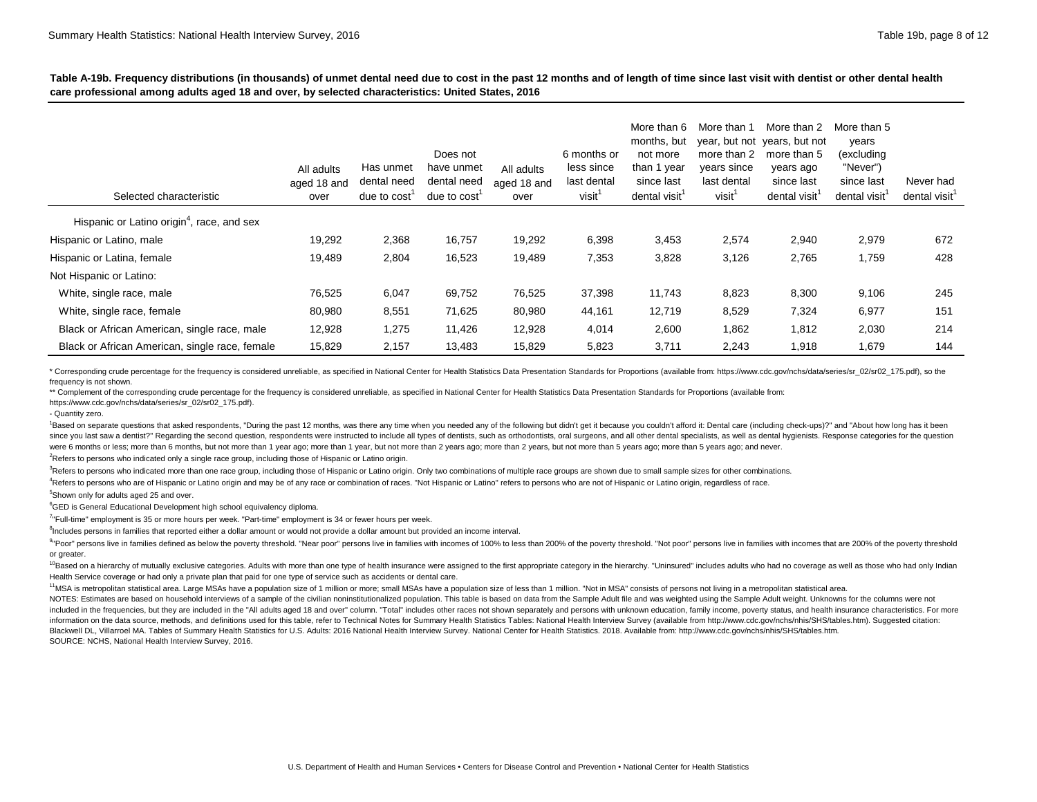| Selected characteristic                                | All adults<br>aged 18 and<br>over | Has unmet<br>dental need<br>due to cost <sup>1</sup> | Does not<br>have unmet<br>dental need<br>due to cost | All adults<br>aged 18 and<br>over | 6 months or<br>less since<br>last dental<br>visit <sup>1</sup> | More than 6<br>months, but<br>not more<br>than 1 year<br>since last<br>dental visit | More than 1<br>year, but not<br>more than 2<br>years since<br>last dental<br>visit <sup>1</sup> | More than 2<br>years, but not<br>more than 5<br>years ago<br>since last<br>dental visit <sup>1</sup> | More than 5<br>years<br>(excluding<br>"Never")<br>since last<br>dental visit <sup>1</sup> | Never had<br>dental visit <sup>1</sup> |
|--------------------------------------------------------|-----------------------------------|------------------------------------------------------|------------------------------------------------------|-----------------------------------|----------------------------------------------------------------|-------------------------------------------------------------------------------------|-------------------------------------------------------------------------------------------------|------------------------------------------------------------------------------------------------------|-------------------------------------------------------------------------------------------|----------------------------------------|
| Hispanic or Latino origin <sup>4</sup> , race, and sex |                                   |                                                      |                                                      |                                   |                                                                |                                                                                     |                                                                                                 |                                                                                                      |                                                                                           |                                        |
| Hispanic or Latino, male                               | 19,292                            | 2,368                                                | 16,757                                               | 19,292                            | 6,398                                                          | 3,453                                                                               | 2,574                                                                                           | 2,940                                                                                                | 2,979                                                                                     | 672                                    |
| Hispanic or Latina, female                             | 19,489                            | 2,804                                                | 16,523                                               | 19,489                            | 7,353                                                          | 3,828                                                                               | 3,126                                                                                           | 2,765                                                                                                | 1,759                                                                                     | 428                                    |
| Not Hispanic or Latino:                                |                                   |                                                      |                                                      |                                   |                                                                |                                                                                     |                                                                                                 |                                                                                                      |                                                                                           |                                        |
| White, single race, male                               | 76,525                            | 6,047                                                | 69,752                                               | 76,525                            | 37,398                                                         | 11,743                                                                              | 8,823                                                                                           | 8,300                                                                                                | 9,106                                                                                     | 245                                    |
| White, single race, female                             | 80,980                            | 8,551                                                | 71,625                                               | 80,980                            | 44,161                                                         | 12,719                                                                              | 8,529                                                                                           | 7,324                                                                                                | 6,977                                                                                     | 151                                    |
| Black or African American, single race, male           | 12,928                            | 1,275                                                | 11,426                                               | 12,928                            | 4,014                                                          | 2,600                                                                               | 1,862                                                                                           | 1,812                                                                                                | 2,030                                                                                     | 214                                    |
| Black or African American, single race, female         | 15,829                            | 2,157                                                | 13,483                                               | 15,829                            | 5,823                                                          | 3,711                                                                               | 2,243                                                                                           | 1,918                                                                                                | 1,679                                                                                     | 144                                    |

\* Corresponding crude percentage for the frequency is considered unreliable, as specified in National Center for Health Statistics Data Presentation Standards for Proportions (available from: https://www.cdc.gov/nchs/data/ frequency is not shown.

\*\* Complement of the corresponding crude percentage for the frequency is considered unreliable, as specified in National Center for Health Statistics Data Presentation Standards for Proportions (available from:

[https://www.cdc.gov/nchs/data/series/sr\\_02/sr02\\_175.pdf\).](https://www.cdc.gov/nchs/data/series/sr_02/sr02_175.pdf) 

- Quantity zero.

<sup>1</sup>Based on separate questions that asked respondents, "During the past 12 months, was there any time when you needed any of the following but didn't get it because you couldn't afford it: Dental care (including check-ups) since you last saw a dentist?" Regarding the second question, respondents were instructed to include all types of dentists, such as orthodontists, oral surgeons, and all other dental specialists, as well as dental hygienis were 6 months or less; more than 6 months, but not more than 1 year ago; more than 1 year, but not more than 2 years, but not more than 5 years ago; more than 5 years ago; and never.

<sup>2</sup>Refers to persons who indicated only a single race group, including those of Hispanic or Latino origin.

<sup>3</sup>Refers to persons who indicated more than one race group, including those of Hispanic or Latino origin. Only two combinations of multiple race groups are shown due to small sample sizes for other combinations.

<sup>4</sup>Refers to persons who are of Hispanic or Latino origin and may be of any race or combination of races. "Not Hispanic or Latino" refers to persons who are not of Hispanic or Latino origin, regardless of race.

5 Shown only for adults aged 25 and over.

<sup>6</sup>GED is General Educational Development high school equivalency diploma.

<sup>7</sup>"Full-time" employment is 35 or more hours per week. "Part-time" employment is 34 or fewer hours per week.

<sup>8</sup>Includes persons in families that reported either a dollar amount or would not provide a dollar amount but provided an income interval.

<sup>9</sup>"Poor" persons live in families defined as below the poverty threshold. "Near poor" persons live in families with incomes of 100% to less than 200% of the poverty threshold. "Not poor" persons live in families with inco or greater.

<sup>10</sup>Based on a hierarchy of mutually exclusive categories. Adults with more than one type of health insurance were assigned to the first appropriate category in the hierarchy. "Uninsured" includes adults who had no coverag Health Service coverage or had only a private plan that paid for one type of service such as accidents or dental care.

<sup>11</sup>MSA is metropolitan statistical area. Large MSAs have a population size of 1 million or more; small MSAs have a population size of less than 1 million. "Not in MSA" consists of persons not living in a metropolitan stat

NOTES: Estimates are based on household interviews of a sample of the civilian noninstitutionalized population. This table is based on data from the Sample Adult file and was weighted using the Sample Adult weight. Unknown included in the frequencies, but they are included in the "All adults aged 18 and over" column, "Total" includes other races not shown separately and persons with unknown education, family income, poverty status, and healt information on the data source, methods, and definitions used for this table, refer to Technical Notes for Summary Health Statistics Tables: National Health Interview Survey (available from http://www.cdc.gov/nchs/nhis/SHS Blackwell DL, Villarroel MA. Tables of Summary Health Statistics for U.S. Adults: 2016 National Health Interview Survey. National Center for Health Statistics. 2018. Available from: http://www.cdc.gov/nchs/nhis/SHS/tables. SOURCE: NCHS, National Health Interview Survey, 2016.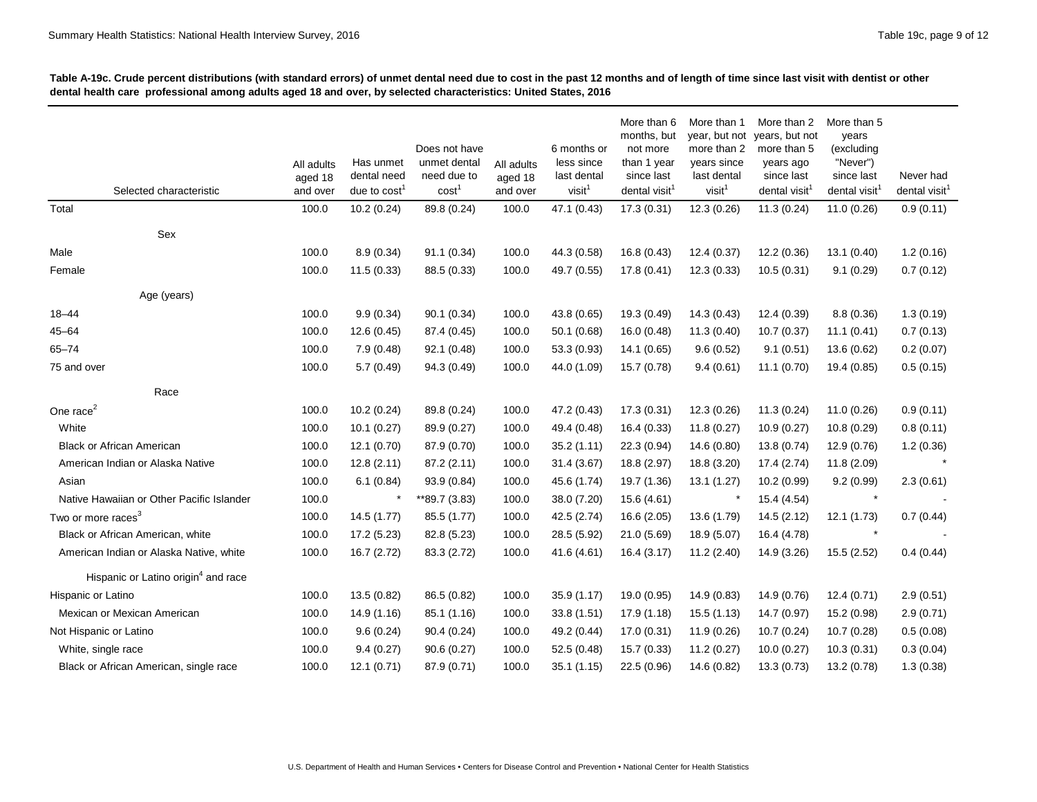| Selected characteristic                         | All adults<br>aged 18<br>and over | Has unmet<br>dental need<br>due to cost <sup>1</sup> | Does not have<br>unmet dental<br>need due to<br>cost | All adults<br>aged 18<br>and over | 6 months or<br>less since<br>last dental<br>visit <sup>1</sup> | More than 6<br>months, but<br>not more<br>than 1 year<br>since last<br>dental visit <sup>1</sup> | More than 1<br>year, but not<br>more than 2<br>years since<br>last dental<br>visit <sup>1</sup> | More than 2<br>years, but not<br>more than 5<br>years ago<br>since last<br>dental visit <sup>1</sup> | More than 5<br>years<br>(excluding<br>"Never")<br>since last<br>dental visit <sup>1</sup> | Never had<br>dental visit <sup>1</sup> |
|-------------------------------------------------|-----------------------------------|------------------------------------------------------|------------------------------------------------------|-----------------------------------|----------------------------------------------------------------|--------------------------------------------------------------------------------------------------|-------------------------------------------------------------------------------------------------|------------------------------------------------------------------------------------------------------|-------------------------------------------------------------------------------------------|----------------------------------------|
| Total                                           | 100.0                             | 10.2(0.24)                                           | 89.8 (0.24)                                          | 100.0                             | 47.1 (0.43)                                                    | 17.3(0.31)                                                                                       | 12.3(0.26)                                                                                      | 11.3(0.24)                                                                                           | 11.0(0.26)                                                                                | 0.9(0.11)                              |
| Sex                                             |                                   |                                                      |                                                      |                                   |                                                                |                                                                                                  |                                                                                                 |                                                                                                      |                                                                                           |                                        |
| Male                                            | 100.0                             | 8.9(0.34)                                            | 91.1 (0.34)                                          | 100.0                             | 44.3 (0.58)                                                    | 16.8(0.43)                                                                                       | 12.4(0.37)                                                                                      | 12.2(0.36)                                                                                           | 13.1(0.40)                                                                                | 1.2(0.16)                              |
| Female                                          | 100.0                             | 11.5(0.33)                                           | 88.5 (0.33)                                          | 100.0                             | 49.7 (0.55)                                                    | 17.8 (0.41)                                                                                      | 12.3(0.33)                                                                                      | 10.5(0.31)                                                                                           | 9.1(0.29)                                                                                 | 0.7(0.12)                              |
| Age (years)                                     |                                   |                                                      |                                                      |                                   |                                                                |                                                                                                  |                                                                                                 |                                                                                                      |                                                                                           |                                        |
| $18 - 44$                                       | 100.0                             | 9.9(0.34)                                            | 90.1(0.34)                                           | 100.0                             | 43.8 (0.65)                                                    | 19.3 (0.49)                                                                                      | 14.3(0.43)                                                                                      | 12.4 (0.39)                                                                                          | 8.8(0.36)                                                                                 | 1.3(0.19)                              |
| $45 - 64$                                       | 100.0                             | 12.6 (0.45)                                          | 87.4 (0.45)                                          | 100.0                             | 50.1 (0.68)                                                    | 16.0(0.48)                                                                                       | 11.3(0.40)                                                                                      | 10.7(0.37)                                                                                           | 11.1(0.41)                                                                                | 0.7(0.13)                              |
| $65 - 74$                                       | 100.0                             | 7.9(0.48)                                            | 92.1 (0.48)                                          | 100.0                             | 53.3 (0.93)                                                    | 14.1(0.65)                                                                                       | 9.6(0.52)                                                                                       | 9.1(0.51)                                                                                            | 13.6 (0.62)                                                                               | 0.2(0.07)                              |
| 75 and over                                     | 100.0                             | 5.7(0.49)                                            | 94.3 (0.49)                                          | 100.0                             | 44.0 (1.09)                                                    | 15.7 (0.78)                                                                                      | 9.4(0.61)                                                                                       | 11.1(0.70)                                                                                           | 19.4 (0.85)                                                                               | 0.5(0.15)                              |
| Race                                            |                                   |                                                      |                                                      |                                   |                                                                |                                                                                                  |                                                                                                 |                                                                                                      |                                                                                           |                                        |
| One race <sup>2</sup>                           | 100.0                             | 10.2(0.24)                                           | 89.8 (0.24)                                          | 100.0                             | 47.2 (0.43)                                                    | 17.3(0.31)                                                                                       | 12.3(0.26)                                                                                      | 11.3(0.24)                                                                                           | 11.0(0.26)                                                                                | 0.9(0.11)                              |
| White                                           | 100.0                             | 10.1(0.27)                                           | 89.9 (0.27)                                          | 100.0                             | 49.4 (0.48)                                                    | 16.4(0.33)                                                                                       | 11.8(0.27)                                                                                      | 10.9(0.27)                                                                                           | 10.8(0.29)                                                                                | 0.8(0.11)                              |
| <b>Black or African American</b>                | 100.0                             | 12.1 (0.70)                                          | 87.9 (0.70)                                          | 100.0                             | 35.2(1.11)                                                     | 22.3 (0.94)                                                                                      | 14.6 (0.80)                                                                                     | 13.8 (0.74)                                                                                          | 12.9 (0.76)                                                                               | 1.2(0.36)                              |
| American Indian or Alaska Native                | 100.0                             | 12.8(2.11)                                           | 87.2 (2.11)                                          | 100.0                             | 31.4(3.67)                                                     | 18.8 (2.97)                                                                                      | 18.8 (3.20)                                                                                     | 17.4 (2.74)                                                                                          | 11.8(2.09)                                                                                |                                        |
| Asian                                           | 100.0                             | 6.1(0.84)                                            | 93.9 (0.84)                                          | 100.0                             | 45.6 (1.74)                                                    | 19.7 (1.36)                                                                                      | 13.1(1.27)                                                                                      | 10.2 (0.99)                                                                                          | 9.2(0.99)                                                                                 | 2.3(0.61)                              |
| Native Hawaiian or Other Pacific Islander       | 100.0                             |                                                      | **89.7 (3.83)                                        | 100.0                             | 38.0 (7.20)                                                    | 15.6 (4.61)                                                                                      |                                                                                                 | 15.4 (4.54)                                                                                          |                                                                                           |                                        |
| Two or more races <sup>3</sup>                  | 100.0                             | 14.5 (1.77)                                          | 85.5 (1.77)                                          | 100.0                             | 42.5 (2.74)                                                    | 16.6 (2.05)                                                                                      | 13.6 (1.79)                                                                                     | 14.5(2.12)                                                                                           | 12.1(1.73)                                                                                | 0.7(0.44)                              |
| Black or African American, white                | 100.0                             | 17.2 (5.23)                                          | 82.8 (5.23)                                          | 100.0                             | 28.5 (5.92)                                                    | 21.0 (5.69)                                                                                      | 18.9 (5.07)                                                                                     | 16.4 (4.78)                                                                                          |                                                                                           |                                        |
| American Indian or Alaska Native, white         | 100.0                             | 16.7 (2.72)                                          | 83.3 (2.72)                                          | 100.0                             | 41.6 (4.61)                                                    | 16.4(3.17)                                                                                       | 11.2 (2.40)                                                                                     | 14.9 (3.26)                                                                                          | 15.5 (2.52)                                                                               | 0.4(0.44)                              |
| Hispanic or Latino origin <sup>4</sup> and race |                                   |                                                      |                                                      |                                   |                                                                |                                                                                                  |                                                                                                 |                                                                                                      |                                                                                           |                                        |
| Hispanic or Latino                              | 100.0                             | 13.5(0.82)                                           | 86.5 (0.82)                                          | 100.0                             | 35.9(1.17)                                                     | 19.0 (0.95)                                                                                      | 14.9 (0.83)                                                                                     | 14.9 (0.76)                                                                                          | 12.4(0.71)                                                                                | 2.9(0.51)                              |
| Mexican or Mexican American                     | 100.0                             | 14.9 (1.16)                                          | 85.1 (1.16)                                          | 100.0                             | 33.8(1.51)                                                     | 17.9 (1.18)                                                                                      | 15.5(1.13)                                                                                      | 14.7 (0.97)                                                                                          | 15.2 (0.98)                                                                               | 2.9(0.71)                              |
| Not Hispanic or Latino                          | 100.0                             | 9.6(0.24)                                            | 90.4(0.24)                                           | 100.0                             | 49.2 (0.44)                                                    | 17.0 (0.31)                                                                                      | 11.9 (0.26)                                                                                     | 10.7 (0.24)                                                                                          | 10.7 (0.28)                                                                               | 0.5(0.08)                              |
| White, single race                              | 100.0                             | 9.4(0.27)                                            | 90.6(0.27)                                           | 100.0                             | 52.5 (0.48)                                                    | 15.7(0.33)                                                                                       | 11.2(0.27)                                                                                      | 10.0(0.27)                                                                                           | 10.3(0.31)                                                                                | 0.3(0.04)                              |
| Black or African American, single race          | 100.0                             | 12.1(0.71)                                           | 87.9 (0.71)                                          | 100.0                             | 35.1(1.15)                                                     | 22.5 (0.96)                                                                                      | 14.6 (0.82)                                                                                     | 13.3(0.73)                                                                                           | 13.2 (0.78)                                                                               | 1.3(0.38)                              |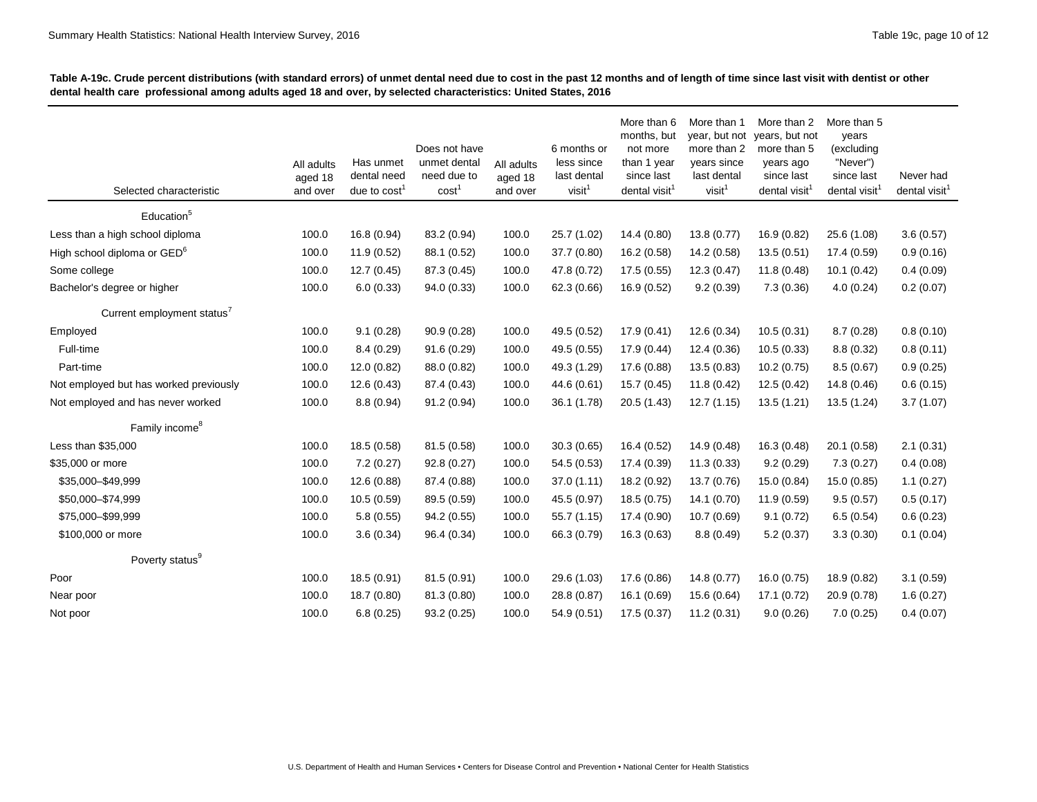| Selected characteristic                 | All adults<br>aged 18<br>and over | Has unmet<br>dental need<br>due to $cost1$ | Does not have<br>unmet dental<br>need due to<br>cost <sup>1</sup> | All adults<br>aged 18<br>and over | 6 months or<br>less since<br>last dental<br>visit <sup>1</sup> | More than 6<br>months, but<br>not more<br>than 1 year<br>since last<br>dental visit <sup>1</sup> | More than 1<br>year, but not<br>more than 2<br>years since<br>last dental<br>visit <sup>1</sup> | More than 2<br>years, but not<br>more than 5<br>years ago<br>since last<br>dental visit | More than 5<br>years<br>(excluding<br>"Never")<br>since last<br>dental visit <sup>1</sup> | Never had<br>dental visit <sup>1</sup> |
|-----------------------------------------|-----------------------------------|--------------------------------------------|-------------------------------------------------------------------|-----------------------------------|----------------------------------------------------------------|--------------------------------------------------------------------------------------------------|-------------------------------------------------------------------------------------------------|-----------------------------------------------------------------------------------------|-------------------------------------------------------------------------------------------|----------------------------------------|
| Education <sup>5</sup>                  |                                   |                                            |                                                                   |                                   |                                                                |                                                                                                  |                                                                                                 |                                                                                         |                                                                                           |                                        |
| Less than a high school diploma         | 100.0                             | 16.8 (0.94)                                | 83.2 (0.94)                                                       | 100.0                             | 25.7 (1.02)                                                    | 14.4 (0.80)                                                                                      | 13.8 (0.77)                                                                                     | 16.9 (0.82)                                                                             | 25.6 (1.08)                                                                               | 3.6(0.57)                              |
| High school diploma or GED <sup>6</sup> | 100.0                             | 11.9(0.52)                                 | 88.1 (0.52)                                                       | 100.0                             | 37.7 (0.80)                                                    | 16.2 (0.58)                                                                                      | 14.2 (0.58)                                                                                     | 13.5(0.51)                                                                              | 17.4 (0.59)                                                                               | 0.9(0.16)                              |
| Some college                            | 100.0                             | 12.7(0.45)                                 | 87.3 (0.45)                                                       | 100.0                             | 47.8 (0.72)                                                    | 17.5(0.55)                                                                                       | 12.3(0.47)                                                                                      | 11.8(0.48)                                                                              | 10.1(0.42)                                                                                | 0.4(0.09)                              |
| Bachelor's degree or higher             | 100.0                             | 6.0(0.33)                                  | 94.0 (0.33)                                                       | 100.0                             | 62.3 (0.66)                                                    | 16.9 (0.52)                                                                                      | 9.2(0.39)                                                                                       | 7.3(0.36)                                                                               | 4.0(0.24)                                                                                 | 0.2(0.07)                              |
| Current employment status'              |                                   |                                            |                                                                   |                                   |                                                                |                                                                                                  |                                                                                                 |                                                                                         |                                                                                           |                                        |
| Employed                                | 100.0                             | 9.1(0.28)                                  | 90.9 (0.28)                                                       | 100.0                             | 49.5 (0.52)                                                    | 17.9(0.41)                                                                                       | 12.6(0.34)                                                                                      | 10.5(0.31)                                                                              | 8.7(0.28)                                                                                 | 0.8(0.10)                              |
| Full-time                               | 100.0                             | 8.4(0.29)                                  | 91.6(0.29)                                                        | 100.0                             | 49.5 (0.55)                                                    | 17.9 (0.44)                                                                                      | 12.4(0.36)                                                                                      | 10.5(0.33)                                                                              | 8.8(0.32)                                                                                 | 0.8(0.11)                              |
| Part-time                               | 100.0                             | 12.0(0.82)                                 | 88.0 (0.82)                                                       | 100.0                             | 49.3 (1.29)                                                    | 17.6 (0.88)                                                                                      | 13.5(0.83)                                                                                      | 10.2(0.75)                                                                              | 8.5(0.67)                                                                                 | 0.9(0.25)                              |
| Not employed but has worked previously  | 100.0                             | 12.6 (0.43)                                | 87.4 (0.43)                                                       | 100.0                             | 44.6 (0.61)                                                    | 15.7(0.45)                                                                                       | 11.8(0.42)                                                                                      | 12.5 (0.42)                                                                             | 14.8 (0.46)                                                                               | 0.6(0.15)                              |
| Not employed and has never worked       | 100.0                             | 8.8(0.94)                                  | 91.2(0.94)                                                        | 100.0                             | 36.1 (1.78)                                                    | 20.5(1.43)                                                                                       | 12.7(1.15)                                                                                      | 13.5(1.21)                                                                              | 13.5 (1.24)                                                                               | 3.7(1.07)                              |
| Family income <sup>8</sup>              |                                   |                                            |                                                                   |                                   |                                                                |                                                                                                  |                                                                                                 |                                                                                         |                                                                                           |                                        |
| Less than \$35,000                      | 100.0                             | 18.5 (0.58)                                | 81.5 (0.58)                                                       | 100.0                             | 30.3(0.65)                                                     | 16.4 (0.52)                                                                                      | 14.9 (0.48)                                                                                     | 16.3 (0.48)                                                                             | 20.1 (0.58)                                                                               | 2.1(0.31)                              |
| \$35,000 or more                        | 100.0                             | 7.2(0.27)                                  | 92.8 (0.27)                                                       | 100.0                             | 54.5 (0.53)                                                    | 17.4 (0.39)                                                                                      | 11.3(0.33)                                                                                      | 9.2(0.29)                                                                               | 7.3(0.27)                                                                                 | 0.4(0.08)                              |
| \$35,000-\$49,999                       | 100.0                             | 12.6(0.88)                                 | 87.4 (0.88)                                                       | 100.0                             | 37.0(1.11)                                                     | 18.2 (0.92)                                                                                      | 13.7 (0.76)                                                                                     | 15.0 (0.84)                                                                             | 15.0(0.85)                                                                                | 1.1(0.27)                              |
| \$50,000-\$74,999                       | 100.0                             | 10.5(0.59)                                 | 89.5 (0.59)                                                       | 100.0                             | 45.5 (0.97)                                                    | 18.5 (0.75)                                                                                      | 14.1 (0.70)                                                                                     | 11.9(0.59)                                                                              | 9.5(0.57)                                                                                 | 0.5(0.17)                              |
| \$75,000-\$99,999                       | 100.0                             | 5.8(0.55)                                  | 94.2 (0.55)                                                       | 100.0                             | 55.7(1.15)                                                     | 17.4 (0.90)                                                                                      | 10.7(0.69)                                                                                      | 9.1(0.72)                                                                               | 6.5(0.54)                                                                                 | 0.6(0.23)                              |
| \$100,000 or more                       | 100.0                             | 3.6(0.34)                                  | 96.4 (0.34)                                                       | 100.0                             | 66.3 (0.79)                                                    | 16.3(0.63)                                                                                       | 8.8(0.49)                                                                                       | 5.2(0.37)                                                                               | 3.3(0.30)                                                                                 | 0.1(0.04)                              |
| Poverty status <sup>9</sup>             |                                   |                                            |                                                                   |                                   |                                                                |                                                                                                  |                                                                                                 |                                                                                         |                                                                                           |                                        |
| Poor                                    | 100.0                             | 18.5 (0.91)                                | 81.5 (0.91)                                                       | 100.0                             | 29.6 (1.03)                                                    | 17.6 (0.86)                                                                                      | 14.8(0.77)                                                                                      | 16.0 (0.75)                                                                             | 18.9 (0.82)                                                                               | 3.1(0.59)                              |
| Near poor                               | 100.0                             | 18.7 (0.80)                                | 81.3 (0.80)                                                       | 100.0                             | 28.8 (0.87)                                                    | 16.1 (0.69)                                                                                      | 15.6 (0.64)                                                                                     | 17.1 (0.72)                                                                             | 20.9 (0.78)                                                                               | 1.6(0.27)                              |
| Not poor                                | 100.0                             | 6.8(0.25)                                  | 93.2 (0.25)                                                       | 100.0                             | 54.9 (0.51)                                                    | 17.5(0.37)                                                                                       | 11.2(0.31)                                                                                      | 9.0(0.26)                                                                               | 7.0(0.25)                                                                                 | 0.4(0.07)                              |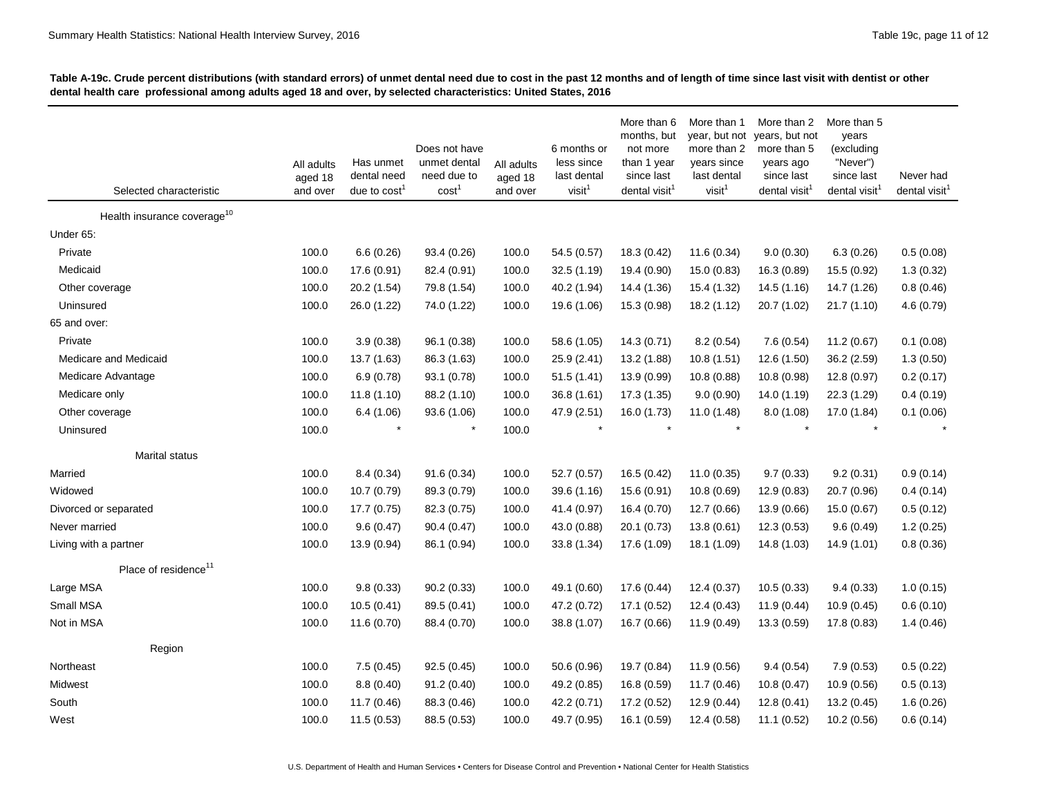| Selected characteristic                 | All adults<br>aged 18<br>and over | Has unmet<br>dental need<br>due to $cost1$ | Does not have<br>unmet dental<br>need due to<br>cost <sup>1</sup> | All adults<br>aged 18<br>and over | 6 months or<br>less since<br>last dental<br>visit <sup>1</sup> | More than 6<br>months, but<br>not more<br>than 1 year<br>since last<br>dental visit <sup>1</sup> | More than 1<br>year, but not<br>more than 2<br>years since<br>last dental<br>visit <sup>1</sup> | More than 2<br>years, but not<br>more than 5<br>years ago<br>since last<br>dental visit <sup>1</sup> | More than 5<br>years<br>(excluding<br>"Never")<br>since last<br>dental visit <sup>1</sup> | Never had<br>dental visit <sup>1</sup> |
|-----------------------------------------|-----------------------------------|--------------------------------------------|-------------------------------------------------------------------|-----------------------------------|----------------------------------------------------------------|--------------------------------------------------------------------------------------------------|-------------------------------------------------------------------------------------------------|------------------------------------------------------------------------------------------------------|-------------------------------------------------------------------------------------------|----------------------------------------|
| Health insurance coverage <sup>10</sup> |                                   |                                            |                                                                   |                                   |                                                                |                                                                                                  |                                                                                                 |                                                                                                      |                                                                                           |                                        |
| Under 65:                               |                                   |                                            |                                                                   |                                   |                                                                |                                                                                                  |                                                                                                 |                                                                                                      |                                                                                           |                                        |
| Private                                 | 100.0                             | 6.6(0.26)                                  | 93.4 (0.26)                                                       | 100.0                             | 54.5 (0.57)                                                    | 18.3 (0.42)                                                                                      | 11.6(0.34)                                                                                      | 9.0(0.30)                                                                                            | 6.3(0.26)                                                                                 | 0.5(0.08)                              |
| Medicaid                                | 100.0                             | 17.6 (0.91)                                | 82.4 (0.91)                                                       | 100.0                             | 32.5 (1.19)                                                    | 19.4 (0.90)                                                                                      | 15.0 (0.83)                                                                                     | 16.3 (0.89)                                                                                          | 15.5 (0.92)                                                                               | 1.3(0.32)                              |
| Other coverage                          | 100.0                             | 20.2 (1.54)                                | 79.8 (1.54)                                                       | 100.0                             | 40.2 (1.94)                                                    | 14.4 (1.36)                                                                                      | 15.4 (1.32)                                                                                     | 14.5 (1.16)                                                                                          | 14.7 (1.26)                                                                               | 0.8(0.46)                              |
| Uninsured                               | 100.0                             | 26.0 (1.22)                                | 74.0 (1.22)                                                       | 100.0                             | 19.6 (1.06)                                                    | 15.3 (0.98)                                                                                      | 18.2 (1.12)                                                                                     | 20.7 (1.02)                                                                                          | 21.7(1.10)                                                                                | 4.6 (0.79)                             |
| 65 and over:                            |                                   |                                            |                                                                   |                                   |                                                                |                                                                                                  |                                                                                                 |                                                                                                      |                                                                                           |                                        |
| Private                                 | 100.0                             | 3.9(0.38)                                  | 96.1 (0.38)                                                       | 100.0                             | 58.6 (1.05)                                                    | 14.3(0.71)                                                                                       | 8.2(0.54)                                                                                       | 7.6(0.54)                                                                                            | 11.2(0.67)                                                                                | 0.1(0.08)                              |
| Medicare and Medicaid                   | 100.0                             | 13.7 (1.63)                                | 86.3 (1.63)                                                       | 100.0                             | 25.9 (2.41)                                                    | 13.2 (1.88)                                                                                      | 10.8(1.51)                                                                                      | 12.6 (1.50)                                                                                          | 36.2 (2.59)                                                                               | 1.3(0.50)                              |
| Medicare Advantage                      | 100.0                             | 6.9(0.78)                                  | 93.1 (0.78)                                                       | 100.0                             | 51.5(1.41)                                                     | 13.9 (0.99)                                                                                      | 10.8(0.88)                                                                                      | 10.8 (0.98)                                                                                          | 12.8 (0.97)                                                                               | 0.2(0.17)                              |
| Medicare only                           | 100.0                             | 11.8(1.10)                                 | 88.2 (1.10)                                                       | 100.0                             | 36.8(1.61)                                                     | 17.3 (1.35)                                                                                      | 9.0(0.90)                                                                                       | 14.0 (1.19)                                                                                          | 22.3 (1.29)                                                                               | 0.4(0.19)                              |
| Other coverage                          | 100.0                             | 6.4(1.06)                                  | 93.6 (1.06)                                                       | 100.0                             | 47.9 (2.51)                                                    | 16.0 (1.73)                                                                                      | 11.0(1.48)                                                                                      | 8.0(1.08)                                                                                            | 17.0 (1.84)                                                                               | 0.1(0.06)                              |
| Uninsured                               | 100.0                             | $\star$                                    | $\star$                                                           | 100.0                             | $\star$                                                        |                                                                                                  | $\star$                                                                                         | $\star$                                                                                              | $\star$                                                                                   |                                        |
| Marital status                          |                                   |                                            |                                                                   |                                   |                                                                |                                                                                                  |                                                                                                 |                                                                                                      |                                                                                           |                                        |
| Married                                 | 100.0                             | 8.4(0.34)                                  | 91.6(0.34)                                                        | 100.0                             | 52.7 (0.57)                                                    | 16.5 (0.42)                                                                                      | 11.0(0.35)                                                                                      | 9.7(0.33)                                                                                            | 9.2(0.31)                                                                                 | 0.9(0.14)                              |
| Widowed                                 | 100.0                             | 10.7 (0.79)                                | 89.3 (0.79)                                                       | 100.0                             | 39.6 (1.16)                                                    | 15.6 (0.91)                                                                                      | 10.8(0.69)                                                                                      | 12.9(0.83)                                                                                           | 20.7 (0.96)                                                                               | 0.4(0.14)                              |
| Divorced or separated                   | 100.0                             | 17.7 (0.75)                                | 82.3 (0.75)                                                       | 100.0                             | 41.4 (0.97)                                                    | 16.4 (0.70)                                                                                      | 12.7 (0.66)                                                                                     | 13.9 (0.66)                                                                                          | 15.0 (0.67)                                                                               | 0.5(0.12)                              |
| Never married                           | 100.0                             | 9.6(0.47)                                  | 90.4(0.47)                                                        | 100.0                             | 43.0 (0.88)                                                    | 20.1 (0.73)                                                                                      | 13.8(0.61)                                                                                      | 12.3(0.53)                                                                                           | 9.6(0.49)                                                                                 | 1.2(0.25)                              |
| Living with a partner                   | 100.0                             | 13.9 (0.94)                                | 86.1 (0.94)                                                       | 100.0                             | 33.8 (1.34)                                                    | 17.6 (1.09)                                                                                      | 18.1 (1.09)                                                                                     | 14.8 (1.03)                                                                                          | 14.9 (1.01)                                                                               | 0.8(0.36)                              |
| Place of residence <sup>11</sup>        |                                   |                                            |                                                                   |                                   |                                                                |                                                                                                  |                                                                                                 |                                                                                                      |                                                                                           |                                        |
| Large MSA                               | 100.0                             | 9.8(0.33)                                  | 90.2(0.33)                                                        | 100.0                             | 49.1 (0.60)                                                    | 17.6 (0.44)                                                                                      | 12.4(0.37)                                                                                      | 10.5(0.33)                                                                                           | 9.4(0.33)                                                                                 | 1.0(0.15)                              |
| Small MSA                               | 100.0                             | 10.5(0.41)                                 | 89.5 (0.41)                                                       | 100.0                             | 47.2 (0.72)                                                    | 17.1 (0.52)                                                                                      | 12.4(0.43)                                                                                      | 11.9(0.44)                                                                                           | 10.9(0.45)                                                                                | 0.6(0.10)                              |
| Not in MSA                              | 100.0                             | 11.6(0.70)                                 | 88.4 (0.70)                                                       | 100.0                             | 38.8 (1.07)                                                    | 16.7 (0.66)                                                                                      | 11.9 (0.49)                                                                                     | 13.3 (0.59)                                                                                          | 17.8 (0.83)                                                                               | 1.4(0.46)                              |
| Region                                  |                                   |                                            |                                                                   |                                   |                                                                |                                                                                                  |                                                                                                 |                                                                                                      |                                                                                           |                                        |
| Northeast                               | 100.0                             | 7.5(0.45)                                  | 92.5(0.45)                                                        | 100.0                             | 50.6 (0.96)                                                    | 19.7 (0.84)                                                                                      | 11.9 (0.56)                                                                                     | 9.4(0.54)                                                                                            | 7.9(0.53)                                                                                 | 0.5(0.22)                              |
| Midwest                                 | 100.0                             | 8.8(0.40)                                  | 91.2(0.40)                                                        | 100.0                             | 49.2 (0.85)                                                    | 16.8 (0.59)                                                                                      | 11.7 (0.46)                                                                                     | 10.8(0.47)                                                                                           | 10.9 (0.56)                                                                               | 0.5(0.13)                              |
| South                                   | 100.0                             | 11.7 (0.46)                                | 88.3 (0.46)                                                       | 100.0                             | 42.2 (0.71)                                                    | 17.2 (0.52)                                                                                      | 12.9(0.44)                                                                                      | 12.8(0.41)                                                                                           | 13.2 (0.45)                                                                               | 1.6(0.26)                              |
| West                                    | 100.0                             | 11.5(0.53)                                 | 88.5 (0.53)                                                       | 100.0                             | 49.7 (0.95)                                                    | 16.1 (0.59)                                                                                      | 12.4 (0.58)                                                                                     | 11.1(0.52)                                                                                           | 10.2(0.56)                                                                                | 0.6(0.14)                              |